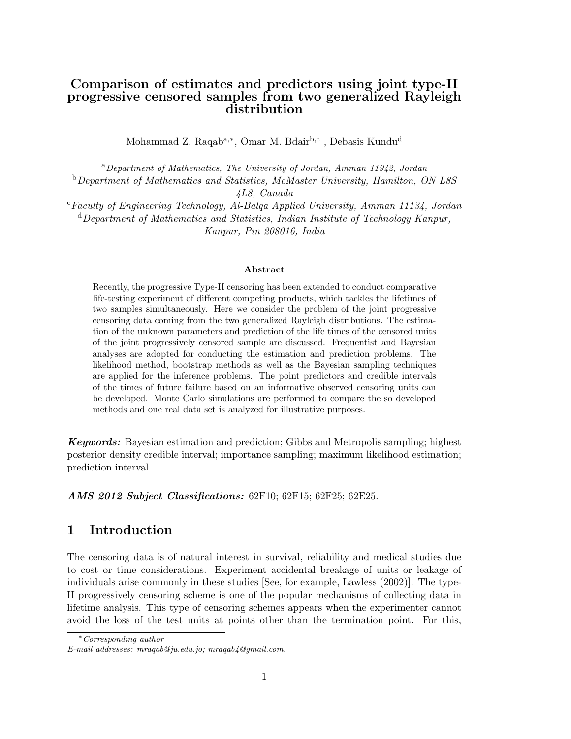# **Comparison of estimates and predictors using joint type-II progressive censored samples from two generalized Rayleigh distribution**

Mohammad Z. Raqab<sup>a,∗</sup>, Omar M. Bdair<sup>b,c</sup> , Debasis Kundu<sup>d</sup>

<sup>a</sup>*Department of Mathematics, The University of Jordan, Amman 11942, Jordan* <sup>b</sup>*Department of Mathematics and Statistics, McMaster University, Hamilton, ON L8S 4L8, Canada*

<sup>c</sup>*Faculty of Engineering Technology, Al-Balqa Applied University, Amman 11134, Jordan* <sup>d</sup>*Department of Mathematics and Statistics, Indian Institute of Technology Kanpur, Kanpur, Pin 208016, India*

#### **Abstract**

Recently, the progressive Type-II censoring has been extended to conduct comparative life-testing experiment of different competing products, which tackles the lifetimes of two samples simultaneously. Here we consider the problem of the joint progressive censoring data coming from the two generalized Rayleigh distributions. The estimation of the unknown parameters and prediction of the life times of the censored units of the joint progressively censored sample are discussed. Frequentist and Bayesian analyses are adopted for conducting the estimation and prediction problems. The likelihood method, bootstrap methods as well as the Bayesian sampling techniques are applied for the inference problems. The point predictors and credible intervals of the times of future failure based on an informative observed censoring units can be developed. Monte Carlo simulations are performed to compare the so developed methods and one real data set is analyzed for illustrative purposes.

*Keywords:* Bayesian estimation and prediction; Gibbs and Metropolis sampling; highest posterior density credible interval; importance sampling; maximum likelihood estimation; prediction interval.

*AMS 2012 Subject Classifications:* 62F10; 62F15; 62F25; 62E25.

### **1 Introduction**

The censoring data is of natural interest in survival, reliability and medical studies due to cost or time considerations. Experiment accidental breakage of units or leakage of individuals arise commonly in these studies [See, for example, Lawless (2002)]. The type-II progressively censoring scheme is one of the popular mechanisms of collecting data in lifetime analysis. This type of censoring schemes appears when the experimenter cannot avoid the loss of the test units at points other than the termination point. For this,

<sup>∗</sup>*Corresponding author*

*E-mail addresses: mraqab@ju.edu.jo; mraqab4@gmail.com.*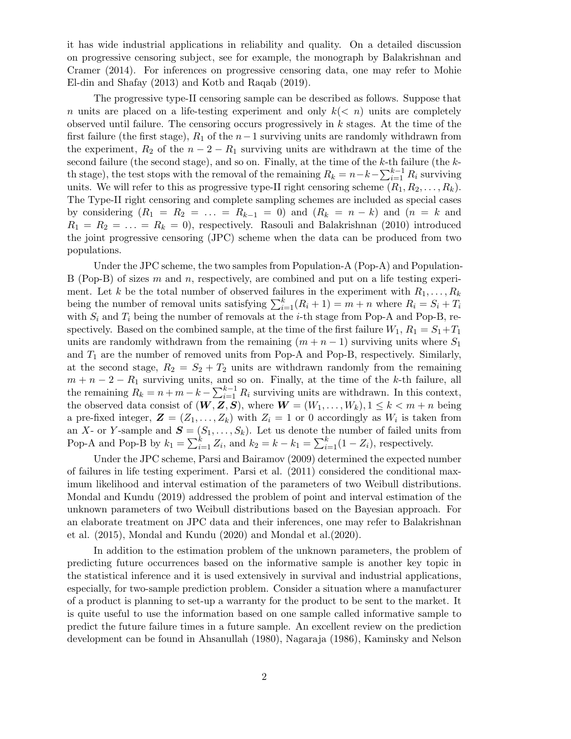it has wide industrial applications in reliability and quality. On a detailed discussion on progressive censoring subject, see for example, the monograph by Balakrishnan and Cramer (2014). For inferences on progressive censoring data, one may refer to Mohie El-din and Shafay (2013) and Kotb and Raqab (2019).

The progressive type-II censoring sample can be described as follows. Suppose that *n* units are placed on a life-testing experiment and only *k*(*< n*) units are completely observed until failure. The censoring occurs progressively in *k* stages. At the time of the first failure (the first stage), *R*<sup>1</sup> of the *n−*1 surviving units are randomly withdrawn from the experiment,  $R_2$  of the  $n-2-R_1$  surviving units are withdrawn at the time of the second failure (the second stage), and so on. Finally, at the time of the *k*-th failure (the *k*th stage), the test stops with the removal of the remaining  $R_k = n - k - \sum_{i=1}^{k-1} R_i$  surviving units. We will refer to this as progressive type-II right censoring scheme  $(R_1, R_2, \ldots, R_k)$ . The Type-II right censoring and complete sampling schemes are included as special cases by considering  $(R_1 = R_2 = \ldots = R_{k-1} = 0)$  and  $(R_k = n - k)$  and  $(n = k$  and  $R_1 = R_2 = \ldots = R_k = 0$ , respectively. Rasouli and Balakrishnan (2010) introduced the joint progressive censoring (JPC) scheme when the data can be produced from two populations.

Under the JPC scheme, the two samples from Population-A (Pop-A) and Population-B (Pop-B) of sizes *m* and *n*, respectively, are combined and put on a life testing experiment. Let *k* be the total number of observed failures in the experiment with  $R_1, \ldots, R_k$ being the number of removal units satisfying  $\sum_{i=1}^{k} (R_i + 1) = m + n$  where  $R_i = S_i + T_i$ with  $S_i$  and  $T_i$  being the number of removals at the *i*-th stage from Pop-A and Pop-B, respectively. Based on the combined sample, at the time of the first failure  $W_1$ ,  $R_1 = S_1 + T_1$ units are randomly withdrawn from the remaining  $(m + n - 1)$  surviving units where  $S_1$ and  $T_1$  are the number of removed units from Pop-A and Pop-B, respectively. Similarly, at the second stage,  $R_2 = S_2 + T_2$  units are withdrawn randomly from the remaining *m* + *n* − 2 − *R*<sub>1</sub> surviving units, and so on. Finally, at the time of the *k*-th failure, all the remaining  $R_k = n + m - k - \sum_{i=1}^{k-1} R_i$  surviving units are withdrawn. In this context, the observed data consist of  $(W, Z, S)$ , where  $W = (W_1, \ldots, W_k)$ ,  $1 \leq k < m + n$  being a pre-fixed integer,  $\mathbf{Z} = (Z_1, \ldots, Z_k)$  with  $Z_i = 1$  or 0 accordingly as  $W_i$  is taken from an *X*- or *Y*-sample and  $S = (S_1, \ldots, S_k)$ . Let us denote the number of failed units from Pop-A and Pop-B by  $k_1 = \sum_{i=1}^k Z_i$ , and  $k_2 = k - k_1 = \sum_{i=1}^k (1 - Z_i)$ , respectively.

Under the JPC scheme, Parsi and Bairamov (2009) determined the expected number of failures in life testing experiment. Parsi et al. (2011) considered the conditional maximum likelihood and interval estimation of the parameters of two Weibull distributions. Mondal and Kundu (2019) addressed the problem of point and interval estimation of the unknown parameters of two Weibull distributions based on the Bayesian approach. For an elaborate treatment on JPC data and their inferences, one may refer to Balakrishnan et al. (2015), Mondal and Kundu (2020) and Mondal et al.(2020).

In addition to the estimation problem of the unknown parameters, the problem of predicting future occurrences based on the informative sample is another key topic in the statistical inference and it is used extensively in survival and industrial applications, especially, for two-sample prediction problem. Consider a situation where a manufacturer of a product is planning to set-up a warranty for the product to be sent to the market. It is quite useful to use the information based on one sample called informative sample to predict the future failure times in a future sample. An excellent review on the prediction development can be found in Ahsanullah (1980), Nagaraja (1986), Kaminsky and Nelson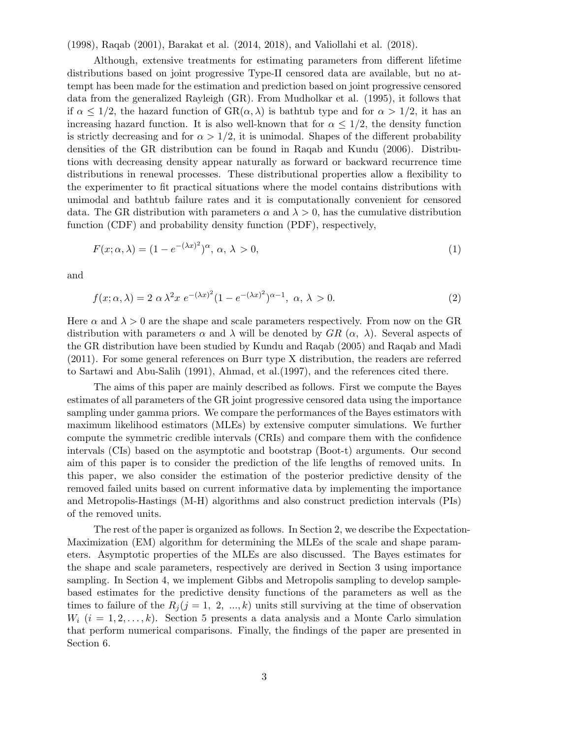(1998), Raqab (2001), Barakat et al. (2014, 2018), and Valiollahi et al. (2018).

Although, extensive treatments for estimating parameters from different lifetime distributions based on joint progressive Type-II censored data are available, but no attempt has been made for the estimation and prediction based on joint progressive censored data from the generalized Rayleigh (GR). From Mudholkar et al. (1995), it follows that if  $\alpha \leq 1/2$ , the hazard function of  $\text{GR}(\alpha, \lambda)$  is bathtub type and for  $\alpha > 1/2$ , it has an increasing hazard function. It is also well-known that for  $\alpha \leq 1/2$ , the density function is strictly decreasing and for  $\alpha > 1/2$ , it is unimodal. Shapes of the different probability densities of the GR distribution can be found in Raqab and Kundu (2006). Distributions with decreasing density appear naturally as forward or backward recurrence time distributions in renewal processes. These distributional properties allow a flexibility to the experimenter to fit practical situations where the model contains distributions with unimodal and bathtub failure rates and it is computationally convenient for censored data. The GR distribution with parameters  $\alpha$  and  $\lambda > 0$ , has the cumulative distribution function (CDF) and probability density function (PDF), respectively,

$$
F(x; \alpha, \lambda) = (1 - e^{-(\lambda x)^2})^{\alpha}, \alpha, \lambda > 0,
$$
\n(1)

and

$$
f(x; \alpha, \lambda) = 2 \alpha \lambda^2 x e^{-(\lambda x)^2} (1 - e^{-(\lambda x)^2})^{\alpha - 1}, \alpha, \lambda > 0.
$$
 (2)

Here  $\alpha$  and  $\lambda > 0$  are the shape and scale parameters respectively. From now on the GR distribution with parameters  $\alpha$  and  $\lambda$  will be denoted by  $GR(\alpha, \lambda)$ . Several aspects of the GR distribution have been studied by Kundu and Raqab (2005) and Raqab and Madi (2011). For some general references on Burr type X distribution, the readers are referred to Sartawi and Abu-Salih (1991), Ahmad, et al.(1997), and the references cited there.

The aims of this paper are mainly described as follows. First we compute the Bayes estimates of all parameters of the GR joint progressive censored data using the importance sampling under gamma priors. We compare the performances of the Bayes estimators with maximum likelihood estimators (MLEs) by extensive computer simulations. We further compute the symmetric credible intervals (CRIs) and compare them with the confidence intervals (CIs) based on the asymptotic and bootstrap (Boot-t) arguments. Our second aim of this paper is to consider the prediction of the life lengths of removed units. In this paper, we also consider the estimation of the posterior predictive density of the removed failed units based on current informative data by implementing the importance and Metropolis-Hastings (M-H) algorithms and also construct prediction intervals (PIs) of the removed units.

The rest of the paper is organized as follows. In Section 2, we describe the Expectation-Maximization (EM) algorithm for determining the MLEs of the scale and shape parameters. Asymptotic properties of the MLEs are also discussed. The Bayes estimates for the shape and scale parameters, respectively are derived in Section 3 using importance sampling. In Section 4, we implement Gibbs and Metropolis sampling to develop samplebased estimates for the predictive density functions of the parameters as well as the times to failure of the  $R_j$  ( $j = 1, 2, ..., k$ ) units still surviving at the time of observation  $W_i$  ( $i = 1, 2, \ldots, k$ ). Section 5 presents a data analysis and a Monte Carlo simulation that perform numerical comparisons. Finally, the findings of the paper are presented in Section 6.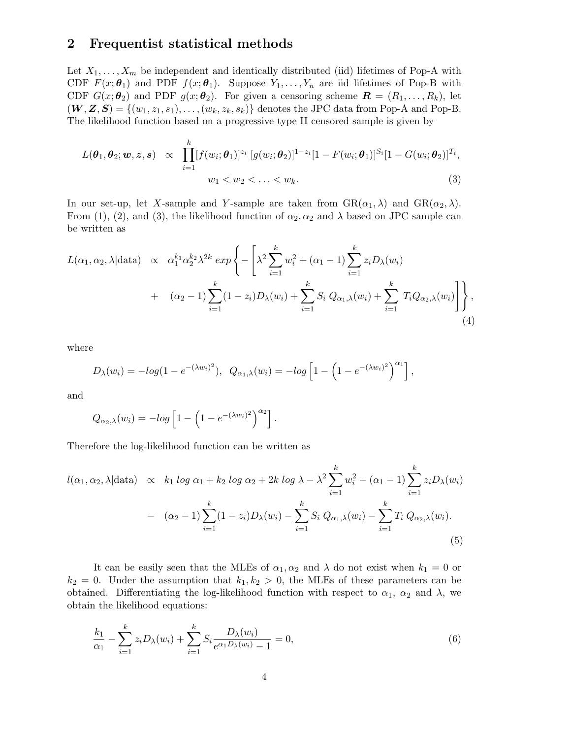## **2 Frequentist statistical methods**

Let  $X_1, \ldots, X_m$  be independent and identically distributed (iid) lifetimes of Pop-A with CDF  $F(x; \theta_1)$  and PDF  $f(x; \theta_1)$ . Suppose  $Y_1, \ldots, Y_n$  are iid lifetimes of Pop-B with CDF  $G(x; \theta_2)$  and PDF  $g(x; \theta_2)$ . For given a censoring scheme  $\mathbf{R} = (R_1, \ldots, R_k)$ , let  $(W, Z, S) = \{(w_1, z_1, s_1), \ldots, (w_k, z_k, s_k)\}\$ denotes the JPC data from Pop-A and Pop-B. The likelihood function based on a progressive type II censored sample is given by

$$
L(\theta_1, \theta_2; w, z, s) \propto \prod_{i=1}^k [f(w_i; \theta_1)]^{z_i} [g(w_i; \theta_2)]^{1-z_i} [1 - F(w_i; \theta_1)]^{S_i} [1 - G(w_i; \theta_2)]^{T_i},
$$
  
\n
$$
w_1 < w_2 < \ldots < w_k.
$$
\n(3)

In our set-up, let *X*-sample and *Y*-sample are taken from  $\text{GR}(\alpha_1, \lambda)$  and  $\text{GR}(\alpha_2, \lambda)$ . From (1), (2), and (3), the likelihood function of  $\alpha_2, \alpha_2$  and  $\lambda$  based on JPC sample can be written as

$$
L(\alpha_1, \alpha_2, \lambda | \text{data}) \propto \alpha_1^{k_1} \alpha_2^{k_2} \lambda^{2k} \exp \left\{-\left[\lambda^2 \sum_{i=1}^k w_i^2 + (\alpha_1 - 1) \sum_{i=1}^k z_i D_{\lambda}(w_i) + (\alpha_2 - 1) \sum_{i=1}^k (1 - z_i) D_{\lambda}(w_i) + \sum_{i=1}^k S_i Q_{\alpha_1, \lambda}(w_i) + \sum_{i=1}^k T_i Q_{\alpha_2, \lambda}(w_i)\right]\right\},
$$
\n(4)

where

$$
D_{\lambda}(w_{i}) = -log(1 - e^{-(\lambda w_{i})^{2}}), \ \ Q_{\alpha_{1},\lambda}(w_{i}) = -log\left[1 - \left(1 - e^{-(\lambda w_{i})^{2}}\right)^{\alpha_{1}}\right],
$$

and

$$
Q_{\alpha_2,\lambda}(w_i) = -\log \left[1 - \left(1 - e^{-(\lambda w_i)^2}\right)^{\alpha_2}\right].
$$

Therefore the log-likelihood function can be written as

$$
l(\alpha_1, \alpha_2, \lambda | \text{data}) \propto k_1 \log \alpha_1 + k_2 \log \alpha_2 + 2k \log \lambda - \lambda^2 \sum_{i=1}^k w_i^2 - (\alpha_1 - 1) \sum_{i=1}^k z_i D_\lambda(w_i)
$$
  
- 
$$
(\alpha_2 - 1) \sum_{i=1}^k (1 - z_i) D_\lambda(w_i) - \sum_{i=1}^k S_i Q_{\alpha_1, \lambda}(w_i) - \sum_{i=1}^k T_i Q_{\alpha_2, \lambda}(w_i).
$$
(5)

It can be easily seen that the MLEs of  $\alpha_1, \alpha_2$  and  $\lambda$  do not exist when  $k_1 = 0$  or  $k_2 = 0$ . Under the assumption that  $k_1, k_2 > 0$ , the MLEs of these parameters can be obtained. Differentiating the log-likelihood function with respect to  $\alpha_1$ ,  $\alpha_2$  and  $\lambda$ , we obtain the likelihood equations:

$$
\frac{k_1}{\alpha_1} - \sum_{i=1}^k z_i D_\lambda(w_i) + \sum_{i=1}^k S_i \frac{D_\lambda(w_i)}{e^{\alpha_1 D_\lambda(w_i)} - 1} = 0,\tag{6}
$$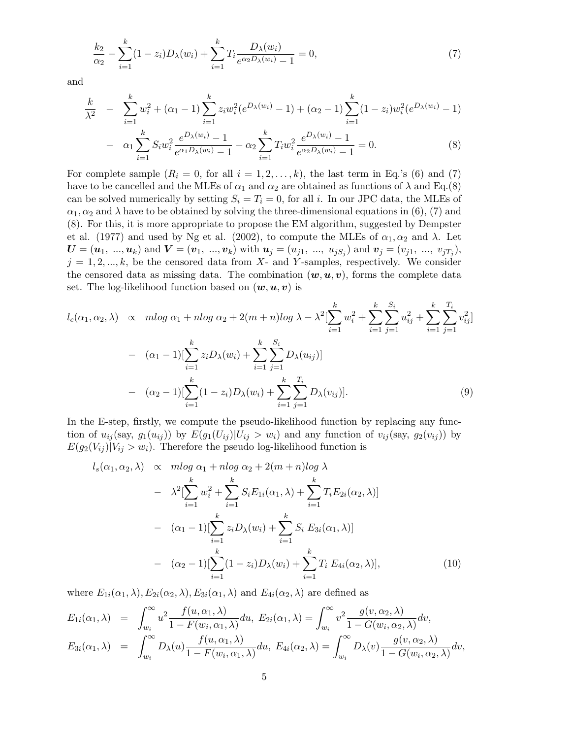$$
\frac{k_2}{\alpha_2} - \sum_{i=1}^k (1 - z_i) D_\lambda(w_i) + \sum_{i=1}^k T_i \frac{D_\lambda(w_i)}{e^{\alpha_2 D_\lambda(w_i)} - 1} = 0,\tag{7}
$$

and

$$
\frac{k}{\lambda^2} - \sum_{i=1}^k w_i^2 + (\alpha_1 - 1) \sum_{i=1}^k z_i w_i^2 (e^{D_\lambda(w_i)} - 1) + (\alpha_2 - 1) \sum_{i=1}^k (1 - z_i) w_i^2 (e^{D_\lambda(w_i)} - 1)
$$
\n
$$
\sum_{i=1}^k c_{\lambda i} e^{D_\lambda(w_i)} - 1 - \sum_{i=1}^k T_{\lambda i} e^{D_\lambda(w_i)} - 1 = 0 \tag{8}
$$

$$
- \alpha_1 \sum_{i=1} S_i w_i^2 \frac{e^{D\lambda(w_i)} - 1}{e^{\alpha_1 D_\lambda(w_i)} - 1} - \alpha_2 \sum_{i=1} T_i w_i^2 \frac{e^{D\lambda(w_i)} - 1}{e^{\alpha_2 D_\lambda(w_i)} - 1} = 0.
$$
 (8)

For complete sample  $(R_i = 0, \text{ for all } i = 1, 2, \ldots, k)$ , the last term in Eq.'s (6) and (7) have to be cancelled and the MLEs of  $\alpha_1$  and  $\alpha_2$  are obtained as functions of  $\lambda$  and Eq.(8) can be solved numerically by setting  $S_i = T_i = 0$ , for all *i*. In our JPC data, the MLEs of  $\alpha_1, \alpha_2$  and  $\lambda$  have to be obtained by solving the three-dimensional equations in (6), (7) and (8). For this, it is more appropriate to propose the EM algorithm, suggested by Dempster et al. (1977) and used by Ng et al. (2002), to compute the MLEs of  $\alpha_1, \alpha_2$  and  $\lambda$ . Let  $\bm{U}=(\bm{u}_1,~..., \bm{u}_k)~\text{and}~\bm{V}=(\bm{v}_1,~..., \bm{v}_k)~\text{with}~\bm{u}_j=(u_{j1},~...,~u_{jS_j})~\text{and}~\bm{v}_j=(v_{j1},~...,~v_{jT_j}),$  $j = 1, 2, \ldots, k$ , be the censored data from  $X$ - and  $Y$ -samples, respectively. We consider the censored data as missing data. The combination  $(w, u, v)$ , forms the complete data set. The log-likelihood function based on  $(w, u, v)$  is

$$
l_c(\alpha_1, \alpha_2, \lambda) \propto m \log \alpha_1 + n \log \alpha_2 + 2(m + n) \log \lambda - \lambda^2 \left[ \sum_{i=1}^k w_i^2 + \sum_{i=1}^k \sum_{j=1}^{S_i} u_{ij}^2 + \sum_{i=1}^k \sum_{j=1}^{T_i} v_{ij}^2 \right]
$$

$$
- (\alpha_1 - 1) \left[ \sum_{i=1}^k z_i D_\lambda(w_i) + \sum_{i=1}^k \sum_{j=1}^{S_i} D_\lambda(u_{ij}) \right]
$$

$$
- (\alpha_2 - 1) \left[ \sum_{i=1}^k (1 - z_i) D_\lambda(w_i) + \sum_{i=1}^k \sum_{j=1}^{T_i} D_\lambda(v_{ij}) \right]. \tag{9}
$$

In the E-step, firstly, we compute the pseudo-likelihood function by replacing any function of  $u_{ij}$ (say,  $g_1(u_{ij})$ ) by  $E(g_1(U_{ij})|U_{ij} > w_i)$  and any function of  $v_{ij}$ (say,  $g_2(v_{ij})$ ) by  $E(g_2(V_{ij})|V_{ij} > w_i)$ . Therefore the pseudo log-likelihood function is

$$
l_s(\alpha_1, \alpha_2, \lambda) \propto m \log \alpha_1 + n \log \alpha_2 + 2(m + n) \log \lambda
$$
  
\n
$$
- \lambda^2 \left[ \sum_{i=1}^k w_i^2 + \sum_{i=1}^k S_i E_{1i}(\alpha_1, \lambda) + \sum_{i=1}^k T_i E_{2i}(\alpha_2, \lambda) \right]
$$
  
\n
$$
- (\alpha_1 - 1) \left[ \sum_{i=1}^k z_i D_\lambda(w_i) + \sum_{i=1}^k S_i E_{3i}(\alpha_1, \lambda) \right]
$$
  
\n
$$
- (\alpha_2 - 1) \left[ \sum_{i=1}^k (1 - z_i) D_\lambda(w_i) + \sum_{i=1}^k T_i E_{4i}(\alpha_2, \lambda) \right],
$$
 (10)

where  $E_{1i}(\alpha_1, \lambda), E_{2i}(\alpha_2, \lambda), E_{3i}(\alpha_1, \lambda)$  and  $E_{4i}(\alpha_2, \lambda)$  are defined as

$$
E_{1i}(\alpha_1,\lambda) = \int_{w_i}^{\infty} u^2 \frac{f(u,\alpha_1,\lambda)}{1 - F(w_i,\alpha_1,\lambda)} du, E_{2i}(\alpha_1,\lambda) = \int_{w_i}^{\infty} v^2 \frac{g(v,\alpha_2,\lambda)}{1 - G(w_i,\alpha_2,\lambda)} dv,
$$
  
\n
$$
E_{3i}(\alpha_1,\lambda) = \int_{w_i}^{\infty} D_{\lambda}(u) \frac{f(u,\alpha_1,\lambda)}{1 - F(w_i,\alpha_1,\lambda)} du, E_{4i}(\alpha_2,\lambda) = \int_{w_i}^{\infty} D_{\lambda}(v) \frac{g(v,\alpha_2,\lambda)}{1 - G(w_i,\alpha_2,\lambda)} dv,
$$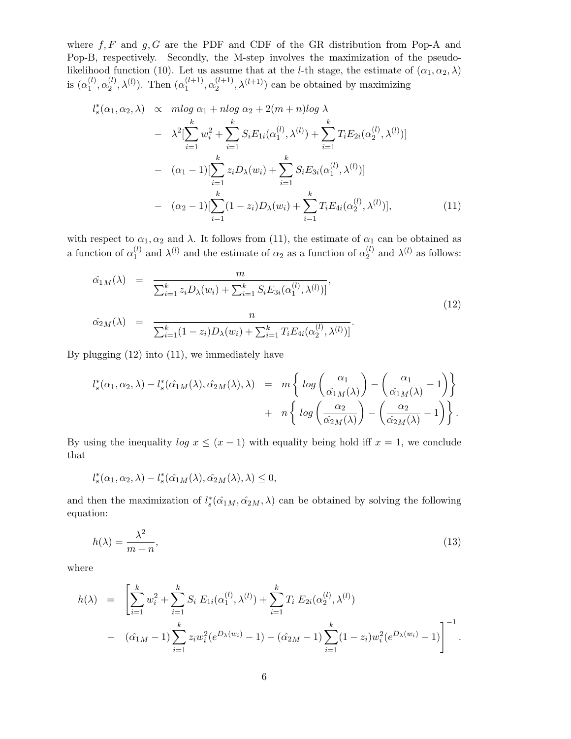where  $f, F$  and  $g, G$  are the PDF and CDF of the GR distribution from Pop-A and Pop-B, respectively. Secondly, the M-step involves the maximization of the pseudolikelihood function (10). Let us assume that at the *l*-th stage, the estimate of  $(\alpha_1, \alpha_2, \lambda)$ is  $(\alpha_1^{(l)}$  $a_1^{(l)}, a_2^{(l)}$  $\chi_2^{(l)}$ ,  $\lambda^{(l)}$ ). Then  $(\alpha_1^{(l+1)})$  $\alpha_1^{(l+1)}, \alpha_2^{(l+1)}$  $\lambda^{(l+1)}$ ,  $\lambda^{(l+1)}$ ) can be obtained by maximizing

$$
l_s^*(\alpha_1, \alpha_2, \lambda) \propto m \log \alpha_1 + n \log \alpha_2 + 2(m + n) \log \lambda
$$
  
\n
$$
- \lambda^2 \left[ \sum_{i=1}^k w_i^2 + \sum_{i=1}^k S_i E_{1i}(\alpha_1^{(l)}, \lambda^{(l)}) + \sum_{i=1}^k T_i E_{2i}(\alpha_2^{(l)}, \lambda^{(l)}) \right]
$$
  
\n
$$
- (\alpha_1 - 1) \left[ \sum_{i=1}^k z_i D_\lambda(w_i) + \sum_{i=1}^k S_i E_{3i}(\alpha_1^{(l)}, \lambda^{(l)}) \right]
$$
  
\n
$$
- (\alpha_2 - 1) \left[ \sum_{i=1}^k (1 - z_i) D_\lambda(w_i) + \sum_{i=1}^k T_i E_{4i}(\alpha_2^{(l)}, \lambda^{(l)}) \right],
$$
\n(11)

with respect to  $\alpha_1, \alpha_2$  and  $\lambda$ . It follows from (11), the estimate of  $\alpha_1$  can be obtained as a function of  $\alpha_1^{(l)}$  $\alpha_1^{(l)}$  and  $\lambda^{(l)}$  and the estimate of  $\alpha_2$  as a function of  $\alpha_2^{(l)}$  $\chi^{(l)}_2$  and  $\lambda^{(l)}$  as follows:

$$
\hat{\alpha}_{1M}(\lambda) = \frac{m}{\sum_{i=1}^{k} z_i D_{\lambda}(w_i) + \sum_{i=1}^{k} S_i E_{3i}(\alpha_1^{(l)}, \lambda^{(l)})},
$$
\n
$$
\hat{\alpha}_{2M}(\lambda) = \frac{n}{\sum_{i=1}^{k} (1 - z_i) D_{\lambda}(w_i) + \sum_{i=1}^{k} T_i E_{4i}(\alpha_2^{(l)}, \lambda^{(l)})}.
$$
\n(12)

By plugging (12) into (11), we immediately have

$$
l_s^*(\alpha_1, \alpha_2, \lambda) - l_s^*(\hat{\alpha}_{1M}(\lambda), \hat{\alpha}_{2M}(\lambda), \lambda) = m \left\{ \log \left( \frac{\alpha_1}{\hat{\alpha}_{1M}(\lambda)} \right) - \left( \frac{\alpha_1}{\hat{\alpha}_{1M}(\lambda)} - 1 \right) \right\} + n \left\{ \log \left( \frac{\alpha_2}{\hat{\alpha}_{2M}(\lambda)} \right) - \left( \frac{\alpha_2}{\hat{\alpha}_{2M}(\lambda)} - 1 \right) \right\}.
$$

By using the inequality  $\log x \leq (x-1)$  with equality being hold iff  $x=1$ , we conclude that

$$
l_s^*(\alpha_1, \alpha_2, \lambda) - l_s^*(\hat{\alpha_1}_M(\lambda), \hat{\alpha_2}_M(\lambda), \lambda) \leq 0,
$$

and then the maximization of  $l_s^*(\hat{\alpha}_{1M}, \hat{\alpha}_{2M}, \lambda)$  can be obtained by solving the following equation:

$$
h(\lambda) = \frac{\lambda^2}{m+n},\tag{13}
$$

where

$$
h(\lambda) = \left[ \sum_{i=1}^{k} w_i^2 + \sum_{i=1}^{k} S_i E_{1i}(\alpha_1^{(l)}, \lambda^{(l)}) + \sum_{i=1}^{k} T_i E_{2i}(\alpha_2^{(l)}, \lambda^{(l)}) - (\hat{\alpha}_{1M} - 1) \sum_{i=1}^{k} z_i w_i^2 (e^{D_{\lambda}(w_i)} - 1) - (\hat{\alpha}_{2M} - 1) \sum_{i=1}^{k} (1 - z_i) w_i^2 (e^{D_{\lambda}(w_i)} - 1) \right]^{-1}.
$$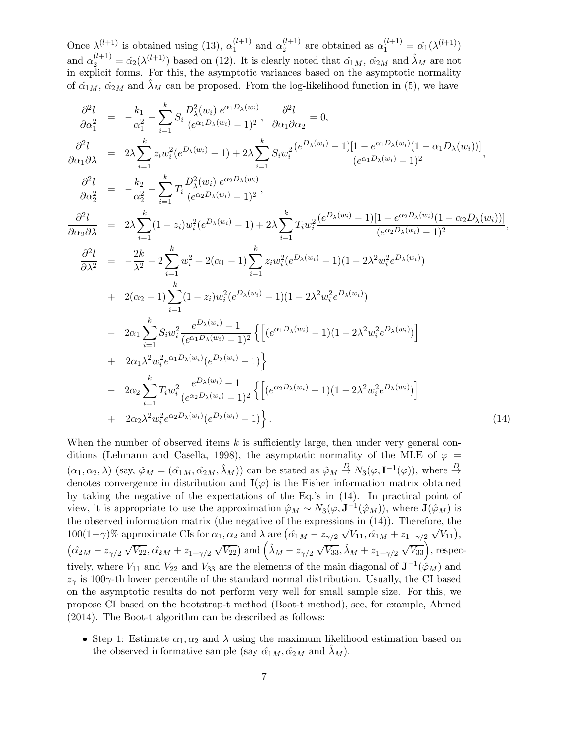Once  $\lambda^{(l+1)}$  is obtained using (13),  $\alpha_1^{(l+1)}$  $\alpha_1^{(l+1)}$  and  $\alpha_2^{(l+1)}$  $\alpha_2^{(l+1)}$  are obtained as  $\alpha_1^{(l+1)} = \hat{\alpha_1}(\lambda^{(l+1)})$ and  $\alpha_2^{(l+1)} = \hat{\alpha_2}(\lambda^{(l+1)})$  based on (12). It is clearly noted that  $\hat{\alpha}_{1M}$ ,  $\hat{\alpha}_{2M}$  and  $\hat{\lambda}_M$  are not in explicit forms. For this, the asymptotic variances based on the asymptotic normality of  $\hat{\alpha}_{1M}$ ,  $\hat{\alpha}_{2M}$  and  $\hat{\lambda}_M$  can be proposed. From the log-likelihood function in (5), we have

$$
\frac{\partial^2 l}{\partial \alpha_1^2} = -\frac{k_1}{\alpha_1^2} - \sum_{i=1}^k S_i \frac{D_{\lambda}^2(w_i) e^{\alpha_1 D_{\lambda}(w_i)}}{(e^{\alpha_1 D_{\lambda}(w_i)} - 1)^2}, \quad \frac{\partial^2 l}{\partial \alpha_1 \partial \alpha_2} = 0,
$$
\n
$$
\frac{\partial^2 l}{\partial \alpha_1 \partial \lambda} = 2\lambda \sum_{i=1}^k z_i w_i^2 (e^{D_{\lambda}(w_i)} - 1) + 2\lambda \sum_{i=1}^k S_i w_i^2 \frac{(e^{D_{\lambda}(w_i)} - 1)[1 - e^{\alpha_1 D_{\lambda}(w_i)}(1 - \alpha_1 D_{\lambda}(w_i))]}{(e^{\alpha_1 D_{\lambda}(w_i)} - 1)^2},
$$
\n
$$
\frac{\partial^2 l}{\partial \alpha_2^2} = -\frac{k_2}{\alpha_2^2} - \sum_{i=1}^k T_i \frac{D_{\lambda}^2(w_i) e^{\alpha_2 D_{\lambda}(w_i)}}{(e^{\alpha_2 D_{\lambda}(w_i)} - 1)^2},
$$
\n
$$
\frac{\partial^2 l}{\partial \alpha_2 \partial \lambda} = 2\lambda \sum_{i=1}^k (1 - z_i) w_i^2 (e^{D_{\lambda}(w_i)} - 1) + 2\lambda \sum_{i=1}^k T_i w_i^2 \frac{(e^{D_{\lambda}(w_i)} - 1)[1 - e^{\alpha_2 D_{\lambda}(w_i)}(1 - \alpha_2 D_{\lambda}(w_i))]}{(e^{\alpha_2 D_{\lambda}(w_i)} - 1)^2},
$$
\n
$$
\frac{\partial^2 l}{\partial \lambda^2} = -\frac{2k}{\lambda^2} - 2 \sum_{i=1}^k w_i^2 + 2(\alpha_1 - 1) \sum_{i=1}^k z_i w_i^2 (e^{D_{\lambda}(w_i)} - 1)(1 - 2\lambda^2 w_i^2 e^{D_{\lambda}(w_i)})
$$
\n
$$
+ 2(\alpha_2 - 1) \sum_{i=1}^k (1 - z_i) w_i^2 (e^{D_{\lambda}(w_i)} - 1)(1 - 2\lambda^2 w_i^2 e^{D_{\lambda}(w_i)})
$$
\n
$$
- 2\alpha_1 \sum_{i=1}^k S_i w_i^2 \frac{e^{D
$$

When the number of observed items k is sufficiently large, then under very general conditions (Lehmann and Casella, 1998), the asymptotic normality of the MLE of  $\varphi$  =  $(\alpha_1, \alpha_2, \lambda)$  (say,  $\hat{\varphi}_M = (\hat{\alpha}_{1M}, \hat{\alpha}_{2M}, \hat{\lambda}_M)$ ) can be stated as  $\hat{\varphi}_M \stackrel{D}{\to} N_3(\varphi, \mathbf{I}^{-1}(\varphi))$ , where  $\stackrel{D}{\to}$ denotes convergence in distribution and  $I(\varphi)$  is the Fisher information matrix obtained by taking the negative of the expectations of the Eq.'s in (14). In practical point of view, it is appropriate to use the approximation  $\hat{\varphi}_M \sim N_3(\varphi, \mathbf{J}^{-1}(\hat{\varphi}_M))$ , where  $\mathbf{J}(\hat{\varphi}_M)$  is the observed information matrix (the negative of the expressions in (14)). Therefore, the 100(1- $\gamma$ *)%* approximate CIs for  $\alpha_1, \alpha_2$  and  $\lambda$  are  $(\hat{\alpha}_{1M} - z_{\gamma/2})$ *√*  $\overline{V_{11}}, \hat{\alpha_1}_M + z_{1-\gamma/2}$  $\sqrt{V_{11}}$ ),  $(\hat{\alpha_2}_M - z_{\gamma/2})$ *√ V*<sub>22</sub>*,*  $\hat{\alpha_2}_M + z_{1-\gamma/2}$  $\sqrt{V_{22}}$ ) and  $(\hat{\lambda}_M - z_{\gamma/2} \sqrt{V_{33}}, \hat{\lambda}_M + z_{1-\gamma/2} \sqrt{V_{33}})$ , respectively, where  $V_{11}$  and  $V_{22}$  and  $V_{33}$  are the elements of the main diagonal of  $\mathbf{J}^{-1}(\hat{\varphi}_M)$  and  $z<sub>γ</sub>$  is 100 $γ$ -th lower percentile of the standard normal distribution. Usually, the CI based on the asymptotic results do not perform very well for small sample size. For this, we propose CI based on the bootstrap-t method (Boot-t method), see, for example, Ahmed (2014). The Boot-t algorithm can be described as follows:

• Step 1: Estimate  $\alpha_1, \alpha_2$  and  $\lambda$  using the maximum likelihood estimation based on the observed informative sample (say  $\hat{\alpha}_{1M}, \hat{\alpha}_{2M}$  and  $\lambda_M$ ).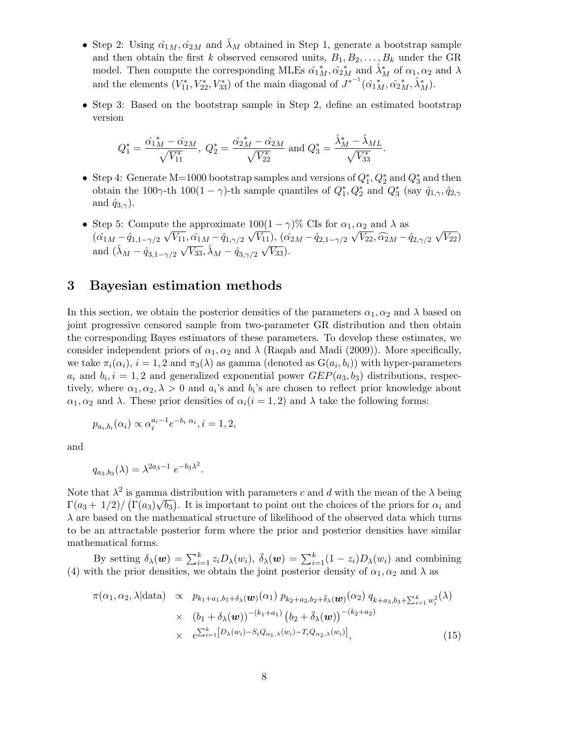- Step 2: Using  $\hat{\alpha}_{1M}, \hat{\alpha}_{2M}$  and  $\lambda_M$  obtained in Step 1, generate a bootstrap sample and then obtain the first *k* observed censored units,  $B_1, B_2, \ldots, B_k$  under the GR model. Then compute the corresponding MLEs  $\hat{\alpha}_{1\,M}^*$ ,  $\hat{\alpha}_{2\,M}^*$  and  $\hat{\lambda}_M^*$  of  $\alpha_1, \alpha_2$  and  $\lambda$ and the elements  $(V_{11}^*, V_{22}^*, V_{33}^*)$  of the main diagonal of  $J^{*^{-1}}(\hat{\alpha_1}_{M}^*, \hat{\alpha_2}_{M}^*, \hat{\lambda}_M^*)$ .
- Step 3: Based on the bootstrap sample in Step 2, define an estimated bootstrap version

$$
Q_1^* = \frac{\hat{\alpha}_{1\,M}^* - \hat{\alpha}_{2\,M}}{\sqrt{V_{11}^*}},\ Q_2^* = \frac{\hat{\alpha}_{2\,M}^* - \hat{\alpha}_{2\,M}}{\sqrt{V_{22}^*}}\ \text{and}\ Q_3^* = \frac{\hat{\lambda}_M^* - \hat{\lambda}_{ML}}{\sqrt{V_{33}^*}}.
$$

- Step 4: Generate M=1000 bootstrap samples and versions of  $Q_1^*, Q_2^*$  and  $Q_3^*$  and then obtain the 100 $\gamma$ -th 100 $(1 - \gamma)$ -th sample quantiles of  $Q_1^*, Q_2^*$  and  $Q_3^*$  (say  $\hat{q}_{1,\gamma}, \hat{q}_{2,\gamma}$ and  $\hat{q}_{3,\gamma}$ ).
- Step 5: Compute the approximate  $100(1 \gamma)\%$  CIs for  $\alpha_1, \alpha_2$  and  $\lambda$  as  $(\hat{\alpha_1}_M - \hat{q}_{1,1-\gamma/2})$ *√ V*<sub>11</sub>*,*  $\hat{\alpha_1}_M - \hat{q}_{1,\gamma/2}$ *√*  $\overline{V_{11}}$ ,  $(\hat{\alpha_2}_M - \hat{q}_{2,1-\gamma/2})$ *√*  $\widehat{V}_{22}$ *,*  $\widehat{\alpha}_{2M}$  *−*  $\hat{q}_{2, \gamma/2}$ *√*  $\overline{V_{22}})$ and  $(\hat{\lambda}_M - \hat{q}_{3,1-\gamma/2} \sqrt{V_{33}}, \hat{\lambda}_M - \hat{q}_{3,\gamma/2} \sqrt{V_{33}})$ *V*33).

### **3 Bayesian estimation methods**

In this section, we obtain the posterior densities of the parameters  $\alpha_1, \alpha_2$  and  $\lambda$  based on joint progressive censored sample from two-parameter GR distribution and then obtain the corresponding Bayes estimators of these parameters. To develop these estimates, we consider independent priors of  $\alpha_1, \alpha_2$  and  $\lambda$  (Raqab and Madi (2009)). More specifically, we take  $\pi_i(\alpha_i)$ ,  $i = 1, 2$  and  $\pi_3(\lambda)$  as gamma (denoted as  $G(a_i, b_i)$ ) with hyper-parameters  $a_i$  and  $b_i$ ,  $i = 1, 2$  and generalized exponential power  $GEP(a_3, b_3)$  distributions, respectively, where  $\alpha_1, \alpha_2, \lambda > 0$  and  $a_i$ 's and  $b_i$ 's are chosen to reflect prior knowledge about *α*<sub>1</sub>, *α*<sub>2</sub> and *λ*. These prior densities of  $α<sub>i</sub>(i = 1, 2)$  and  $λ$  take the following forms:

$$
p_{a_i,b_i}(\alpha_i) \propto \alpha_i^{a_i-1} e^{-b_i \alpha_i}, i = 1, 2,
$$

and

$$
q_{a_3,b_3}(\lambda) = \lambda^{2a_3 - 1} e^{-b_3 \lambda^2}.
$$

Note that  $\lambda^2$  is gamma distribution with parameters *c* and *d* with the mean of the  $\lambda$  being  $\Gamma(a_3 + 1/2) / (\Gamma(a_3)\sqrt{b_3})$ . It is important to point out the choices of the priors for  $\alpha_i$  and  $\lambda$  are based on the mathematical structure of likelihood of the observed data which turns to be an attractable posterior form where the prior and posterior densities have similar mathematical forms.

By setting  $\delta_{\lambda}(\boldsymbol{w}) = \sum_{i=1}^{k} z_i D_{\lambda}(w_i)$ ,  $\bar{\delta}_{\lambda}(\boldsymbol{w}) = \sum_{i=1}^{k} (1 - z_i) D_{\lambda}(w_i)$  and combining (4) with the prior densities, we obtain the joint posterior density of  $\alpha_1, \alpha_2$  and  $\lambda$  as

$$
\pi(\alpha_1, \alpha_2, \lambda | \text{data}) \propto p_{k_1 + a_1, b_1 + \delta_{\lambda}(\boldsymbol{w})}(\alpha_1) p_{k_2 + a_2, b_2 + \bar{\delta}_{\lambda}(\boldsymbol{w})}(\alpha_2) q_{k + a_3, b_3 + \sum_{i=1}^k w_i^2}(\lambda)
$$
\n
$$
\times (b_1 + \delta_{\lambda}(\boldsymbol{w}))^{-(k_1 + a_1)} (b_2 + \bar{\delta}_{\lambda}(\boldsymbol{w}))^{-(k_2 + a_2)}
$$
\n
$$
\times e^{\sum_{i=1}^k [D_{\lambda}(w_i) - S_i Q_{\alpha_1, \lambda}(w_i) - T_i Q_{\alpha_2, \lambda}(w_i)]},
$$
\n(15)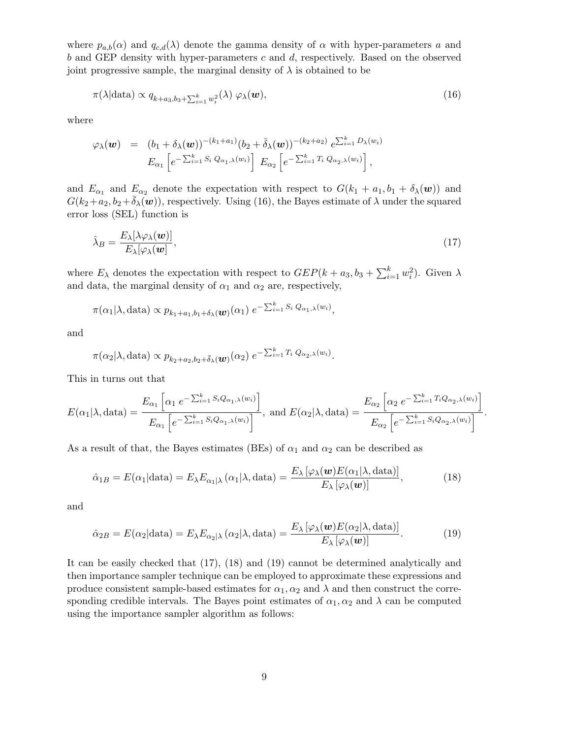where  $p_{a,b}(\alpha)$  and  $q_{c,d}(\lambda)$  denote the gamma density of  $\alpha$  with hyper-parameters  $a$  and *b* and GEP density with hyper-parameters *c* and *d*, respectively. Based on the observed joint progressive sample, the marginal density of  $\lambda$  is obtained to be

$$
\pi(\lambda|\text{data}) \propto q_{k+a_3,b_3+\sum_{i=1}^k w_i^2}(\lambda) \varphi_\lambda(\boldsymbol{w}),\tag{16}
$$

where

$$
\varphi_{\lambda}(\boldsymbol{w}) = (b_1 + \delta_{\lambda}(\boldsymbol{w}))^{-(k_1 + a_1)} (b_2 + \bar{\delta}_{\lambda}(\boldsymbol{w}))^{-(k_2 + a_2)} e^{\sum_{i=1}^k D_{\lambda}(w_i)}
$$
  

$$
E_{\alpha_1} \left[ e^{-\sum_{i=1}^k S_i Q_{\alpha_1,\lambda}(w_i)} \right] E_{\alpha_2} \left[ e^{-\sum_{i=1}^k T_i Q_{\alpha_2,\lambda}(w_i)} \right],
$$

and  $E_{\alpha_1}$  and  $E_{\alpha_2}$  denote the expectation with respect to  $G(k_1 + a_1, b_1 + \delta_\lambda(\boldsymbol{w}))$  and  $G(k_2+a_2, b_2+\delta_\lambda(\boldsymbol{w}))$ , respectively. Using (16), the Bayes estimate of  $\lambda$  under the squared error loss (SEL) function is

$$
\hat{\lambda}_B = \frac{E_\lambda[\lambda \varphi_\lambda(\boldsymbol{w})]}{E_\lambda[\varphi_\lambda(\boldsymbol{w})]},\tag{17}
$$

where  $E_{\lambda}$  denotes the expectation with respect to  $GEP(k + a_3, b_3 + \sum_{i=1}^{k} w_i^2)$ . Given  $\lambda$ and data, the marginal density of  $\alpha_1$  and  $\alpha_2$  are, respectively,

$$
\pi(\alpha_1|\lambda, \text{data}) \propto p_{k_1+a_1,b_1+\delta_{\lambda}}(\boldsymbol{w})(\alpha_1) e^{-\sum_{i=1}^k S_i Q_{\alpha_1,\lambda}(w_i)},
$$

and

$$
\pi(\alpha_2|\lambda, \text{data}) \propto p_{k_2 + a_2, b_2 + \bar{\delta}_{\lambda}}(\boldsymbol{w}) (\alpha_2) e^{-\sum_{i=1}^k T_i Q_{\alpha_2, \lambda}(w_i)}
$$

This in turns out that

$$
E(\alpha_1|\lambda, \text{data}) = \frac{E_{\alpha_1} \left[ \alpha_1 e^{-\sum_{i=1}^k S_i Q_{\alpha_1, \lambda}(w_i)} \right]}{E_{\alpha_1} \left[ e^{-\sum_{i=1}^k S_i Q_{\alpha_1, \lambda}(w_i)} \right]}, \text{ and } E(\alpha_2|\lambda, \text{data}) = \frac{E_{\alpha_2} \left[ \alpha_2 e^{-\sum_{i=1}^k T_i Q_{\alpha_2, \lambda}(w_i)} \right]}{E_{\alpha_2} \left[ e^{-\sum_{i=1}^k S_i Q_{\alpha_2, \lambda}(w_i)} \right]}.
$$

As a result of that, the Bayes estimates (BEs) of  $\alpha_1$  and  $\alpha_2$  can be described as

$$
\hat{\alpha}_{1B} = E(\alpha_1 | \text{data}) = E_{\lambda} E_{\alpha_1 | \lambda} (\alpha_1 | \lambda, \text{data}) = \frac{E_{\lambda} [\varphi_{\lambda}(\boldsymbol{w}) E(\alpha_1 | \lambda, \text{data})]}{E_{\lambda} [\varphi_{\lambda}(\boldsymbol{w})]},
$$
(18)

and

$$
\hat{\alpha}_{2B} = E(\alpha_2 | \text{data}) = E_{\lambda} E_{\alpha_2 | \lambda} (\alpha_2 | \lambda, \text{data}) = \frac{E_{\lambda} [\varphi_{\lambda}(\boldsymbol{w}) E(\alpha_2 | \lambda, \text{data})]}{E_{\lambda} [\varphi_{\lambda}(\boldsymbol{w})]}.
$$
(19)

It can be easily checked that (17), (18) and (19) cannot be determined analytically and then importance sampler technique can be employed to approximate these expressions and produce consistent sample-based estimates for  $\alpha_1, \alpha_2$  and  $\lambda$  and then construct the corresponding credible intervals. The Bayes point estimates of  $\alpha_1, \alpha_2$  and  $\lambda$  can be computed using the importance sampler algorithm as follows: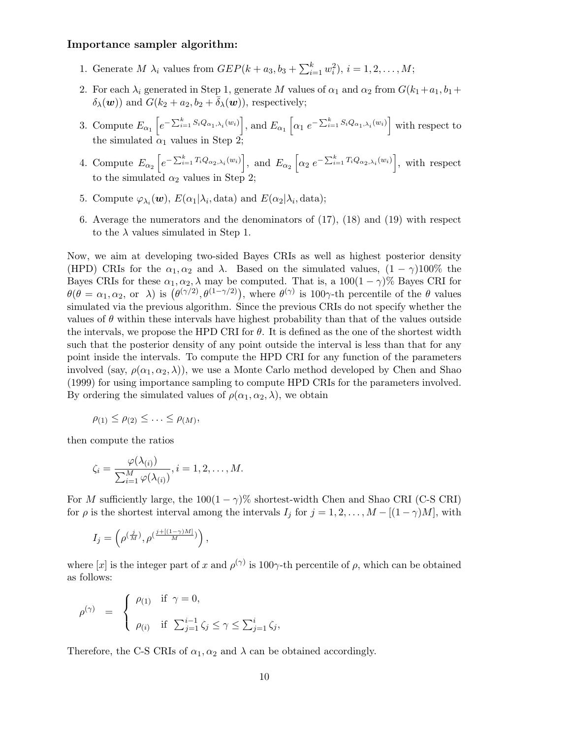#### **Importance sampler algorithm:**

- 1. Generate *M*  $\lambda_i$  values from  $GEP(k + a_3, b_3 + \sum_{i=1}^k w_i^2), i = 1, 2, ..., M;$
- 2. For each  $\lambda_i$  generated in Step 1, generate *M* values of  $\alpha_1$  and  $\alpha_2$  from  $G(k_1 + a_1, b_1 + b_2)$  $\delta_{\lambda}(\boldsymbol{w})$  and  $G(k_2 + a_2, b_2 + \delta_{\lambda}(\boldsymbol{w}))$ , respectively;
- 3. Compute  $E_{\alpha_1}\left[e^{-\sum_{i=1}^k S_i Q_{\alpha_1,\lambda_i}(w_i)}\right]$ , and  $E_{\alpha_1}\left[\alpha_1 e^{-\sum_{i=1}^k S_i Q_{\alpha_1,\lambda_i}(w_i)}\right]$  with respect to the simulated  $\alpha_1$  values in Step 2;
- 4. Compute  $E_{\alpha_2}\left[e^{-\sum_{i=1}^k T_i Q_{\alpha_2,\lambda_i}(w_i)}\right]$ , and  $E_{\alpha_2}\left[\alpha_2 e^{-\sum_{i=1}^k T_i Q_{\alpha_2,\lambda_i}(w_i)}\right]$ , with respect to the simulated  $\alpha_2$  values in Step 2;
- 5. Compute  $\varphi_{\lambda_i}(\boldsymbol{w})$ ,  $E(\alpha_1|\lambda_i,\text{data})$  and  $E(\alpha_2|\lambda_i,\text{data})$ ;
- 6. Average the numerators and the denominators of (17), (18) and (19) with respect to the  $\lambda$  values simulated in Step 1.

Now, we aim at developing two-sided Bayes CRIs as well as highest posterior density (HPD) CRIs for the  $\alpha_1, \alpha_2$  and  $\lambda$ . Based on the simulated values,  $(1 - \gamma)100\%$  the Bayes CRIs for these  $\alpha_1, \alpha_2, \lambda$  may be computed. That is, a 100(1 –  $\gamma$ )% Bayes CRI for  $\theta(\theta = \alpha_1, \alpha_2, \text{ or } \lambda)$  is  $(\theta^{(\gamma/2)}, \theta^{(1-\gamma/2)})$ , where  $\theta^{(\gamma)}$  is 100 $\gamma$ -th percentile of the  $\theta$  values simulated via the previous algorithm. Since the previous CRIs do not specify whether the values of  $\theta$  within these intervals have highest probability than that of the values outside the intervals, we propose the HPD CRI for  $\theta$ . It is defined as the one of the shortest width such that the posterior density of any point outside the interval is less than that for any point inside the intervals. To compute the HPD CRI for any function of the parameters involved (say,  $\rho(\alpha_1, \alpha_2, \lambda)$ ), we use a Monte Carlo method developed by Chen and Shao (1999) for using importance sampling to compute HPD CRIs for the parameters involved. By ordering the simulated values of  $\rho(\alpha_1, \alpha_2, \lambda)$ , we obtain

$$
\rho_{(1)} \leq \rho_{(2)} \leq \ldots \leq \rho_{(M)},
$$

then compute the ratios

$$
\zeta_i = \frac{\varphi(\lambda_{(i)})}{\sum_{i=1}^M \varphi(\lambda_{(i)})}, i = 1, 2, \dots, M.
$$

For *M* sufficiently large, the  $100(1 - \gamma)$ % shortest-width Chen and Shao CRI (C-S CRI) for  $\rho$  is the shortest interval among the intervals  $I_j$  for  $j = 1, 2, \ldots, M - [(1 - \gamma)M]$ , with

$$
I_j=\left(\rho^{\left(\frac{j}{M}\right)},\rho^{\left(\frac{j+[(1-\gamma)M]}{M}\right)}\right),
$$

where [x] is the integer part of x and  $\rho^{(\gamma)}$  is 100 $\gamma$ -th percentile of  $\rho$ , which can be obtained as follows:

$$
\rho^{(\gamma)} = \begin{cases} \rho_{(1)} & \text{if } \gamma = 0, \\ \rho_{(i)} & \text{if } \sum_{j=1}^{i-1} \zeta_j \le \gamma \le \sum_{j=1}^{i} \zeta_j, \end{cases}
$$

Therefore, the C-S CRIs of  $\alpha_1, \alpha_2$  and  $\lambda$  can be obtained accordingly.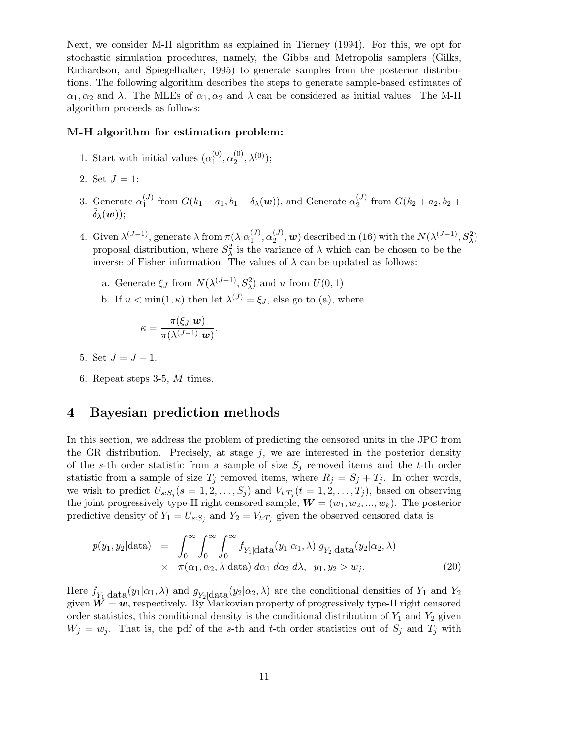Next, we consider M-H algorithm as explained in Tierney (1994). For this, we opt for stochastic simulation procedures, namely, the Gibbs and Metropolis samplers (Gilks, Richardson, and Spiegelhalter, 1995) to generate samples from the posterior distributions. The following algorithm describes the steps to generate sample-based estimates of  $\alpha_1, \alpha_2$  and  $\lambda$ . The MLEs of  $\alpha_1, \alpha_2$  and  $\lambda$  can be considered as initial values. The M-H algorithm proceeds as follows:

#### **M-H algorithm for estimation problem:**

- 1. Start with initial values  $(\alpha_1^{(0)})$  $\overset{(0)}{1},\overset{(0)}{\alpha_2^{(0)}}$  $\chi^{(0)}_{2}, \lambda^{(0)});$
- 2. Set  $J = 1$ ;
- 3. Generate  $\alpha_1^{(J)}$  $f_1^{(J)}$  from  $G(k_1 + a_1, b_1 + \delta_\lambda(\boldsymbol{w}))$ , and Generate  $\alpha_2^{(J)}$  $G_2^{(J)}$  from  $G(k_2 + a_2, b_2 + b_1)$  $\bar{\delta}_{\lambda}(\boldsymbol{w})$ :
- 4. Given  $\lambda^{(J-1)}$ , generate  $\lambda$  from  $\pi(\lambda|\alpha_1^{(J)})$  $a_1^{(J)}, a_2^{(J)}$  $\mathcal{L}^{(J)}_2$ , *w*) described in (16) with the  $N(\lambda^{(J-1)}, S^2_{\lambda})$ proposal distribution, where  $S^2_{\lambda}$  is the variance of  $\lambda$  which can be chosen to be the inverse of Fisher information. The values of  $\lambda$  can be updated as follows:
	- a. Generate  $\xi$ *J* from  $N(\lambda^{(J-1)}, S_\lambda^2)$  and *u* from  $U(0, 1)$
	- b. If  $u < \min(1, \kappa)$  then let  $\lambda^{(J)} = \xi_J$ , else go to (a), where

$$
\kappa = \frac{\pi(\xi_J|\boldsymbol{w})}{\pi(\lambda^{(J-1)}|\boldsymbol{w})}.
$$

- 5. Set  $J = J + 1$ .
- 6. Repeat steps 3-5, *M* times.

### **4 Bayesian prediction methods**

In this section, we address the problem of predicting the censored units in the JPC from the GR distribution. Precisely, at stage  $j$ , we are interested in the posterior density of the *s*-th order statistic from a sample of size *S<sup>j</sup>* removed items and the *t*-th order statistic from a sample of size  $T_j$  removed items, where  $R_j = S_j + T_j$ . In other words, we wish to predict  $U_{s:S_j}(s = 1, 2, \ldots, S_j)$  and  $V_{t:T_j}(t = 1, 2, \ldots, T_j)$ , based on observing the joint progressively type-II right censored sample,  $W = (w_1, w_2, ..., w_k)$ . The posterior predictive density of  $Y_1 = U_{s:S_j}$  and  $Y_2 = V_{t:T_j}$  given the observed censored data is

$$
p(y_1, y_2 | \text{data}) = \int_0^\infty \int_0^\infty \int_0^\infty f_{Y_1 | \text{data}}(y_1 | \alpha_1, \lambda) g_{Y_2 | \text{data}}(y_2 | \alpha_2, \lambda)
$$
  
 
$$
\times \quad \pi(\alpha_1, \alpha_2, \lambda | \text{data}) \ d\alpha_1 \ d\alpha_2 \ d\lambda, \ y_1, y_2 > w_j. \tag{20}
$$

Here  $f_{Y_1|\text{data}}(y_1|\alpha_1,\lambda)$  and  $g_{Y_2|\text{data}}(y_2|\alpha_2,\lambda)$  are the conditional densities of  $Y_1$  and  $Y_2$ given  $W = w$ , respectively. By Markovian property of progressively type-II right censored order statistics, this conditional density is the conditional distribution of  $Y_1$  and  $Y_2$  given  $W_j = w_j$ . That is, the pdf of the *s*-th and *t*-th order statistics out of  $S_j$  and  $T_j$  with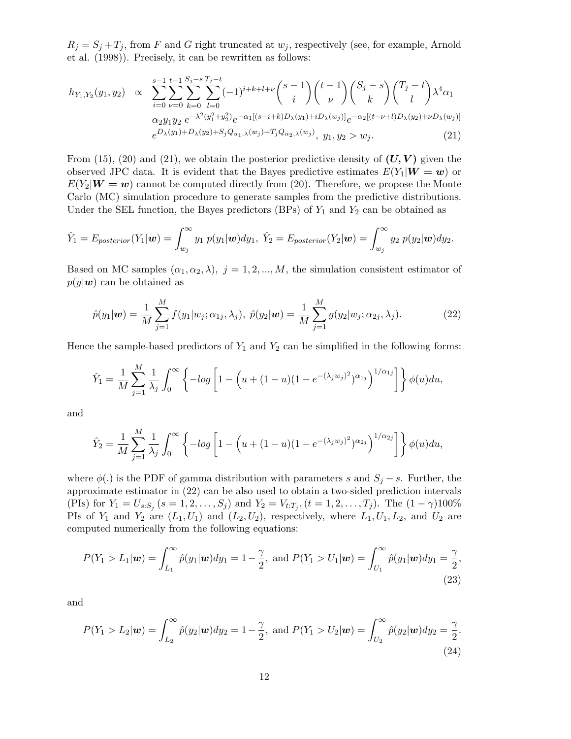$R_j = S_j + T_j$ , from *F* and *G* right truncated at  $w_j$ , respectively (see, for example, Arnold et al. (1998)). Precisely, it can be rewritten as follows:

$$
h_{Y_1,Y_2}(y_1,y_2) \propto \sum_{i=0}^{s-1} \sum_{\nu=0}^{t-1} \sum_{k=0}^{S_j-s} \sum_{l=0}^{T_j-t} (-1)^{i+k+l+\nu} {s-1 \choose i} {t-1 \choose \nu} {S_j - s \choose k} {T_j - t \choose l} \lambda^4 \alpha_1
$$
  
\n
$$
\alpha_2 y_1 y_2 e^{-\lambda^2 (y_1^2 + y_2^2)} e^{-\alpha_1 [(s-i+k)D_\lambda(y_1) + iD_\lambda(w_j)]} e^{-\alpha_2 [(t-\nu+l)D_\lambda(y_2) + \nu D_\lambda(w_j)]}
$$
  
\n
$$
e^{D_\lambda(y_1) + D_\lambda(y_2) + S_j Q_{\alpha_1,\lambda}(w_j) + T_j Q_{\alpha_2,\lambda}(w_j)}, y_1, y_2 > w_j.
$$
\n(21)

From (15), (20) and (21), we obtain the posterior predictive density of  $(U, V)$  given the observed JPC data. It is evident that the Bayes predictive estimates  $E(Y_1 | W = w)$  or  $E(Y_2|W=w)$  cannot be computed directly from (20). Therefore, we propose the Monte Carlo (MC) simulation procedure to generate samples from the predictive distributions. Under the SEL function, the Bayes predictors (BPs) of  $Y_1$  and  $Y_2$  can be obtained as

$$
\hat{Y}_1 = E_{posterior}(Y_1|\boldsymbol{w}) = \int_{w_j}^{\infty} y_1 p(y_1|\boldsymbol{w}) dy_1, \ \hat{Y}_2 = E_{posterior}(Y_2|\boldsymbol{w}) = \int_{w_j}^{\infty} y_2 p(y_2|\boldsymbol{w}) dy_2.
$$

Based on MC samples  $(\alpha_1, \alpha_2, \lambda), j = 1, 2, ..., M$ , the simulation consistent estimator of  $p(y|\mathbf{w})$  can be obtained as

$$
\hat{p}(y_1|\boldsymbol{w}) = \frac{1}{M} \sum_{j=1}^{M} f(y_1|w_j; \alpha_{1j}, \lambda_j), \ \hat{p}(y_2|\boldsymbol{w}) = \frac{1}{M} \sum_{j=1}^{M} g(y_2|w_j; \alpha_{2j}, \lambda_j).
$$
 (22)

Hence the sample-based predictors of  $Y_1$  and  $Y_2$  can be simplified in the following forms:

$$
\hat{Y}_1 = \frac{1}{M} \sum_{j=1}^M \frac{1}{\lambda_j} \int_0^\infty \left\{ -\log \left[ 1 - \left( u + (1-u)(1 - e^{-(\lambda_j w_j)^2})^{\alpha_{1j}} \right)^{1/\alpha_{1j}} \right] \right\} \phi(u) du,
$$

and

$$
\hat{Y}_2 = \frac{1}{M} \sum_{j=1}^M \frac{1}{\lambda_j} \int_0^\infty \left\{ -\log \left[ 1 - \left( u + (1-u)(1 - e^{-(\lambda_j w_j)^2})^{\alpha_{2j}} \right)^{1/\alpha_{2j}} \right] \right\} \phi(u) du,
$$

where  $\phi(.)$  is the PDF of gamma distribution with parameters *s* and  $S_j - s$ . Further, the approximate estimator in (22) can be also used to obtain a two-sided prediction intervals (PIs) for  $Y_1 = U_{s:S_j}$   $(s = 1, 2, ..., S_j)$  and  $Y_2 = V_{t:T_j}$ ,  $(t = 1, 2, ..., T_j)$ . The  $(1 - \gamma)100\%$ PIs of  $Y_1$  and  $Y_2$  are  $(L_1, U_1)$  and  $(L_2, U_2)$ , respectively, where  $L_1, U_1, L_2$ , and  $U_2$  are computed numerically from the following equations:

$$
P(Y_1 > L_1 | \mathbf{w}) = \int_{L_1}^{\infty} \hat{p}(y_1 | \mathbf{w}) dy_1 = 1 - \frac{\gamma}{2}, \text{ and } P(Y_1 > U_1 | \mathbf{w}) = \int_{U_1}^{\infty} \hat{p}(y_1 | \mathbf{w}) dy_1 = \frac{\gamma}{2},
$$
\n(23)

and

$$
P(Y_1 > L_2 | \mathbf{w}) = \int_{L_2}^{\infty} \hat{p}(y_2 | \mathbf{w}) dy_2 = 1 - \frac{\gamma}{2}, \text{ and } P(Y_1 > U_2 | \mathbf{w}) = \int_{U_2}^{\infty} \hat{p}(y_2 | \mathbf{w}) dy_2 = \frac{\gamma}{2}.
$$
\n(24)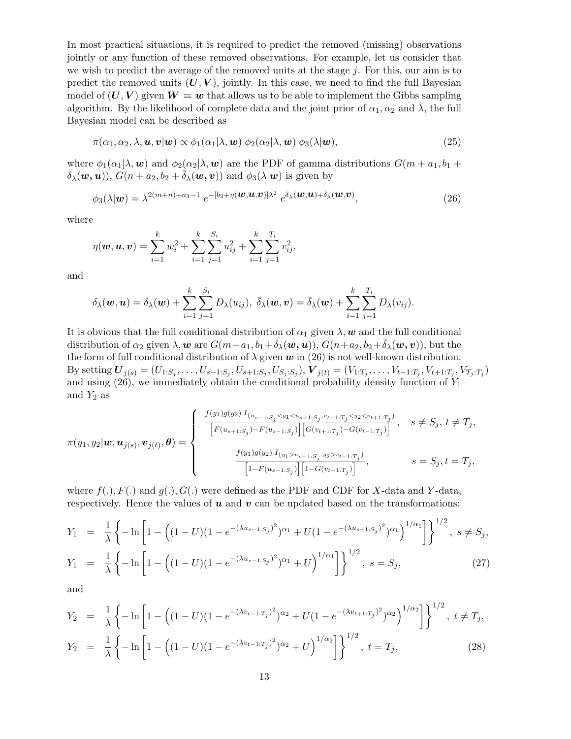In most practical situations, it is required to predict the removed (missing) observations jointly or any function of these removed observations. For example, let us consider that we wish to predict the average of the removed units at the stage *j*. For this, our aim is to predict the removed units  $(U, V)$ , jointly. In this case, we need to find the full Bayesian model of  $(U, V)$  given  $W = w$  that allows us to be able to implement the Gibbs sampling algorithm. By the likelihood of complete data and the joint prior of  $\alpha_1, \alpha_2$  and  $\lambda$ , the full Bayesian model can be described as

$$
\pi(\alpha_1, \alpha_2, \lambda, \mathbf{u}, \mathbf{v}|\mathbf{w}) \propto \phi_1(\alpha_1|\lambda, \mathbf{w}) \phi_2(\alpha_2|\lambda, \mathbf{w}) \phi_3(\lambda|\mathbf{w}), \tag{25}
$$

where  $\phi_1(\alpha_1|\lambda, \mathbf{w})$  and  $\phi_2(\alpha_2|\lambda, \mathbf{w})$  are the PDF of gamma distributions  $G(m + a_1, b_1 + \mathbf{w})$  $\delta_{\lambda}(\boldsymbol{w}, \boldsymbol{u})$ ,  $G(n + a_2, b_2 + \delta_{\lambda}(\boldsymbol{w}, \boldsymbol{v}))$  and  $\phi_3(\lambda | \boldsymbol{w})$  is given by

$$
\phi_3(\lambda|\boldsymbol{w}) = \lambda^{2(m+n)+a_3-1} e^{-[b_3+\eta(\boldsymbol{w}, \boldsymbol{u}, \boldsymbol{v})]\lambda^2} e^{\delta_\lambda(\boldsymbol{w}, \boldsymbol{u}) + \bar{\delta}_\lambda(\boldsymbol{w}, \boldsymbol{v})},
$$
\n(26)

where

$$
\eta(\boldsymbol{w}, \boldsymbol{u}, \boldsymbol{v}) = \sum_{i=1}^{k} w_i^2 + \sum_{i=1}^{k} \sum_{j=1}^{S_i} u_{ij}^2 + \sum_{i=1}^{k} \sum_{j=1}^{T_i} v_{ij}^2,
$$

and

$$
\delta_\lambda(\boldsymbol{w},\boldsymbol{u})=\delta_\lambda(\boldsymbol{w})+\sum_{i=1}^k\sum_{j=1}^{S_i}D_\lambda(u_{ij}),\ \bar{\delta}_\lambda(\boldsymbol{w},\boldsymbol{v})=\bar{\delta}_\lambda(\boldsymbol{w})+\sum_{i=1}^k\sum_{j=1}^{T_i}D_\lambda(v_{ij}).
$$

It is obvious that the full conditional distribution of  $\alpha_1$  given  $\lambda$ ,  $w$  and the full conditional distribution of  $\alpha_2$  given  $\lambda$ , *w* are  $G(m+a_1, b_1+\delta_\lambda(\boldsymbol{w}, \boldsymbol{u}))$ ,  $G(n+a_2, b_2+\delta_\lambda(\boldsymbol{w}, \boldsymbol{v}))$ , but the the form of full conditional distribution of  $\lambda$  given  $w$  in (26) is not well-known distribution. By setting  $U_{j(s)} = (U_{1:S_j}, \ldots, U_{s-1:S_j}, U_{s+1:S_j}, U_{S_j:S_j}),$   $V_{j(t)} = (V_{1:T_j}, \ldots, V_{t-1:T_j}, V_{t+1:T_j}, V_{T_j:T_j})$ and using (26), we immediately obtain the conditional probability density function of *Y*<sup>1</sup> and  $Y_2$  as

$$
\pi(y_1, y_2 | \mathbf{w}, \mathbf{u}_{j(s)}, \mathbf{v}_{j(t)}, \theta) = \begin{cases}\n\frac{f(y_1)g(y_2) I_{\{u_{s-1:S_j} < y_1 < u_{s+1:S_j}, v_{t-1:T_j} < y_2 < v_{t+1:T_j}\}\n\frac{F(u_{s+1:S_j}) - F(u_{s-1:S_j}) \left[ G(v_{t+1:T_j}) - G(v_{t-1:T_j}) \right]}{\left[ G(v_{t+1:T_j}) - G(v_{t-1:T_j}) \right]}, & s = S_j, t = T_j, \\
\frac{f(y_1)g(y_2) I_{\{y_1 > u_{s-1:S_j}, y_2 > v_{t-1:T_j}\}\n\end{cases}
$$

where  $f(.)$ ,  $F(.)$  and  $g(.)$ ,  $G(.)$  were defined as the PDF and CDF for *X*-data and *Y*-data, respectively. Hence the values of  $u$  and  $v$  can be updated based on the transformations:

$$
Y_1 = \frac{1}{\lambda} \left\{ -\ln \left[ 1 - \left( (1 - U)(1 - e^{-(\lambda u_{s-1:S_j})^2})^{\alpha_1} + U(1 - e^{-(\lambda u_{s+1:S_j})^2})^{\alpha_1} \right)^{1/\alpha_1} \right] \right\}^{1/2}, \ s \neq S_j,
$$
  
\n
$$
Y_1 = \frac{1}{\lambda} \left\{ -\ln \left[ 1 - \left( (1 - U)(1 - e^{-(\lambda u_{s-1:S_j})^2})^{\alpha_1} + U \right)^{1/\alpha_1} \right] \right\}^{1/2}, \ s = S_j,
$$
\n(27)

and

$$
Y_2 = \frac{1}{\lambda} \left\{ -\ln \left[ 1 - \left( (1 - U)(1 - e^{-(\lambda v_{t-1:T_j})^2})^{\alpha_2} + U(1 - e^{-(\lambda v_{t+1:T_j})^2})^{\alpha_2} \right)^{1/\alpha_2} \right] \right\}^{1/2}, \ t \neq T_j,
$$
  
\n
$$
Y_2 = \frac{1}{\lambda} \left\{ -\ln \left[ 1 - \left( (1 - U)(1 - e^{-(\lambda v_{t-1:T_j})^2})^{\alpha_2} + U \right)^{1/\alpha_2} \right] \right\}^{1/2}, \ t = T_j,
$$
\n(28)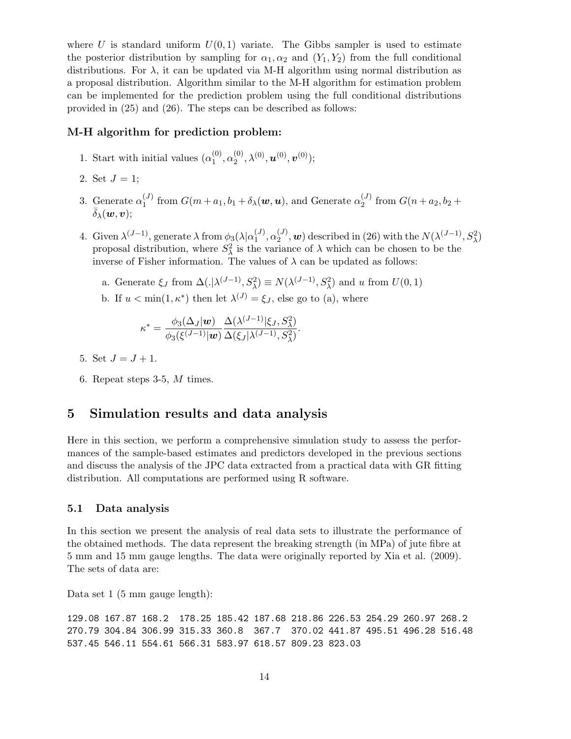where *U* is standard uniform  $U(0,1)$  variate. The Gibbs sampler is used to estimate the posterior distribution by sampling for  $\alpha_1, \alpha_2$  and  $(Y_1, Y_2)$  from the full conditional distributions. For  $\lambda$ , it can be updated via M-H algorithm using normal distribution as a proposal distribution. Algorithm similar to the M-H algorithm for estimation problem can be implemented for the prediction problem using the full conditional distributions provided in (25) and (26). The steps can be described as follows:

#### **M-H algorithm for prediction problem:**

- 1. Start with initial values  $(\alpha_1^{(0)})$  $\overset{(0)}{1},\overset{(0)}{\alpha_2^{(0)}}$  $\bm{u}^{(0)}, \lambda^{(0)}, \bm{u}^{(0)}, \bm{v}^{(0)});$
- 2. Set  $J = 1$ ;
- 3. Generate  $\alpha_1^{(J)}$  $\mathcal{L}_1^{(J)}$  from  $G(m + a_1, b_1 + \delta_\lambda(\boldsymbol{w}, \boldsymbol{u}),$  and Generate  $\alpha_2^{(J)}$  $G(n + a_2, b_2 +$  $\bar{\delta}_{\lambda}(\boldsymbol{w}, \boldsymbol{v})$ :
- 4. Given  $\lambda^{(J-1)}$ , generate  $\lambda$  from  $\phi_3(\lambda|\alpha_1^{(J)})$  $\alpha_1^{(J)}, \alpha_2^{(J)}$  $\mathcal{L}^{(J)}_2$ , *w*) described in (26) with the  $N(\lambda^{(J-1)}, S_\lambda^2)$ proposal distribution, where  $S^2_{\lambda}$  is the variance of  $\lambda$  which can be chosen to be the inverse of Fisher information. The values of  $\lambda$  can be updated as follows:
	- a. Generate  $\xi_J$  from  $\Delta(.)\lambda^{(J-1)}, S_\lambda^2) \equiv N(\lambda^{(J-1)}, S_\lambda^2)$  and *u* from  $U(0,1)$
	- b. If  $u < \min(1, \kappa^*)$  then let  $\lambda^{(J)} = \xi_J$ , else go to (a), where

$$
\kappa^* = \frac{\phi_3(\Delta_J | \mathbf{w})}{\phi_3(\xi^{(J-1)} | \mathbf{w})} \frac{\Delta(\lambda^{(J-1)} | \xi_J, S_\lambda^2)}{\Delta(\xi_J | \lambda^{(J-1)}, S_\lambda^2)}.
$$

- 5. Set  $J = J + 1$ .
- 6. Repeat steps 3-5, *M* times.

### **5 Simulation results and data analysis**

Here in this section, we perform a comprehensive simulation study to assess the performances of the sample-based estimates and predictors developed in the previous sections and discuss the analysis of the JPC data extracted from a practical data with GR fitting distribution. All computations are performed using R software.

#### **5.1 Data analysis**

In this section we present the analysis of real data sets to illustrate the performance of the obtained methods. The data represent the breaking strength (in MPa) of jute fibre at 5 mm and 15 mm gauge lengths. The data were originally reported by Xia et al. (2009). The sets of data are:

Data set 1 (5 mm gauge length):

129.08 167.87 168.2 178.25 185.42 187.68 218.86 226.53 254.29 260.97 268.2 270.79 304.84 306.99 315.33 360.8 367.7 370.02 441.87 495.51 496.28 516.48 537.45 546.11 554.61 566.31 583.97 618.57 809.23 823.03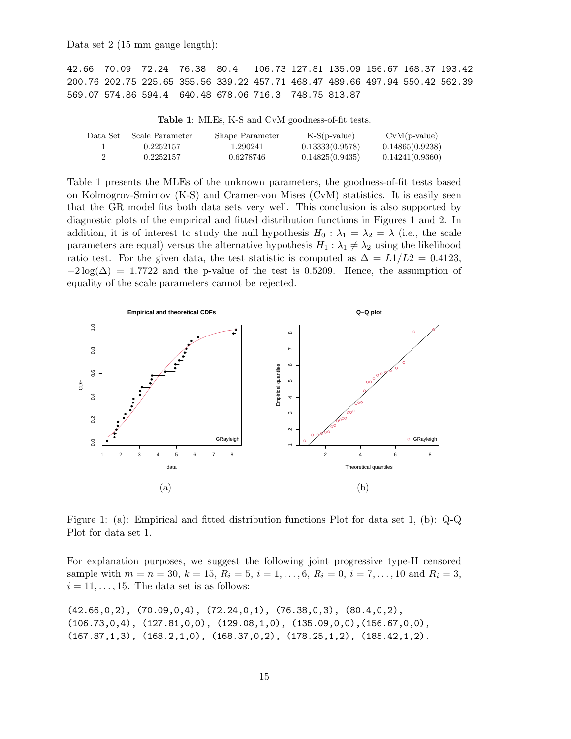Data set 2 (15 mm gauge length):

42.66 70.09 72.24 76.38 80.4 106.73 127.81 135.09 156.67 168.37 193.42 200.76 202.75 225.65 355.56 339.22 457.71 468.47 489.66 497.94 550.42 562.39 569.07 574.86 594.4 640.48 678.06 716.3 748.75 813.87

|  |  |  |  | Table 1: MLEs, K-S and CvM goodness-of-fit tests. |  |
|--|--|--|--|---------------------------------------------------|--|
|--|--|--|--|---------------------------------------------------|--|

| Data Set | Scale Parameter | Shape Parameter | $K-S(p-value)$  | $CvM(p-value)$  |
|----------|-----------------|-----------------|-----------------|-----------------|
|          | 0.2252157       | 1.290241        | 0.13333(0.9578) | 0.14865(0.9238) |
|          | 0.2252157       | 0.6278746       | 0.14825(0.9435) | 0.14241(0.9360) |

Table 1 presents the MLEs of the unknown parameters, the goodness-of-fit tests based on Kolmogrov-Smirnov (K-S) and Cramer-von Mises (CvM) statistics. It is easily seen that the GR model fits both data sets very well. This conclusion is also supported by diagnostic plots of the empirical and fitted distribution functions in Figures 1 and 2. In addition, it is of interest to study the null hypothesis  $H_0: \lambda_1 = \lambda_2 = \lambda$  (i.e., the scale parameters are equal) versus the alternative hypothesis  $H_1: \lambda_1 \neq \lambda_2$  using the likelihood ratio test. For the given data, the test statistic is computed as  $\Delta = L1/L2 = 0.4123$ ,  $-2 \log(\Delta) = 1.7722$  and the p-value of the test is 0.5209. Hence, the assumption of equality of the scale parameters cannot be rejected.



Figure 1: (a): Empirical and fitted distribution functions Plot for data set 1, (b): Q-Q Plot for data set 1.

For explanation purposes, we suggest the following joint progressive type-II censored sample with  $m = n = 30, k = 15, R_i = 5, i = 1, \ldots, 6, R_i = 0, i = 7, \ldots, 10$  and  $R_i = 3$ ,  $i = 11, \ldots, 15$ . The data set is as follows:

(42.66,0,2), (70.09,0,4), (72.24,0,1), (76.38,0,3), (80.4,0,2),  $(106.73,0,4)$ ,  $(127.81,0,0)$ ,  $(129.08,1,0)$ ,  $(135.09,0,0)$ ,  $(156.67,0,0)$ , (167.87,1,3), (168.2,1,0), (168.37,0,2), (178.25,1,2), (185.42,1,2).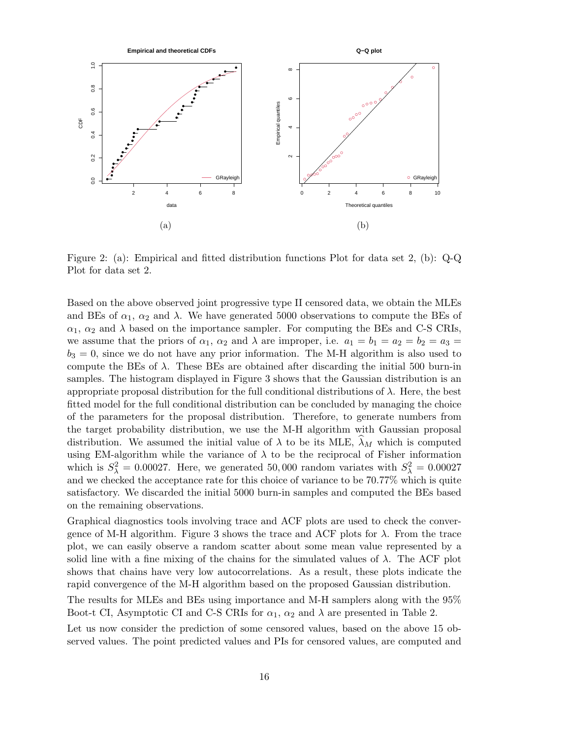

Figure 2: (a): Empirical and fitted distribution functions Plot for data set 2, (b): Q-Q Plot for data set 2.

Based on the above observed joint progressive type II censored data, we obtain the MLEs and BEs of  $\alpha_1$ ,  $\alpha_2$  and  $\lambda$ . We have generated 5000 observations to compute the BEs of  $\alpha_1$ ,  $\alpha_2$  and  $\lambda$  based on the importance sampler. For computing the BEs and C-S CRIs, we assume that the priors of  $\alpha_1$ ,  $\alpha_2$  and  $\lambda$  are improper, i.e.  $a_1 = b_1 = a_2 = b_2 = a_3 =$  $b_3 = 0$ , since we do not have any prior information. The M-H algorithm is also used to compute the BEs of  $\lambda$ . These BEs are obtained after discarding the initial 500 burn-in samples. The histogram displayed in Figure 3 shows that the Gaussian distribution is an appropriate proposal distribution for the full conditional distributions of *λ*. Here, the best fitted model for the full conditional distribution can be concluded by managing the choice of the parameters for the proposal distribution. Therefore, to generate numbers from the target probability distribution, we use the M-H algorithm with Gaussian proposal distribution. We assumed the initial value of  $\lambda$  to be its MLE,  $\tilde{\lambda}_M$  which is computed using EM-algorithm while the variance of  $\lambda$  to be the reciprocal of Fisher information which is  $S_{\lambda}^2 = 0.00027$ . Here, we generated 50,000 random variates with  $S_{\lambda}^2 = 0.00027$ and we checked the acceptance rate for this choice of variance to be 70*.*77% which is quite satisfactory. We discarded the initial 5000 burn-in samples and computed the BEs based on the remaining observations.

Graphical diagnostics tools involving trace and ACF plots are used to check the convergence of M-H algorithm. Figure 3 shows the trace and ACF plots for *λ*. From the trace plot, we can easily observe a random scatter about some mean value represented by a solid line with a fine mixing of the chains for the simulated values of  $\lambda$ . The ACF plot shows that chains have very low autocorrelations. As a result, these plots indicate the rapid convergence of the M-H algorithm based on the proposed Gaussian distribution.

The results for MLEs and BEs using importance and M-H samplers along with the 95% Boot-t CI, Asymptotic CI and C-S CRIs for  $\alpha_1$ ,  $\alpha_2$  and  $\lambda$  are presented in Table 2.

Let us now consider the prediction of some censored values, based on the above 15 observed values. The point predicted values and PIs for censored values, are computed and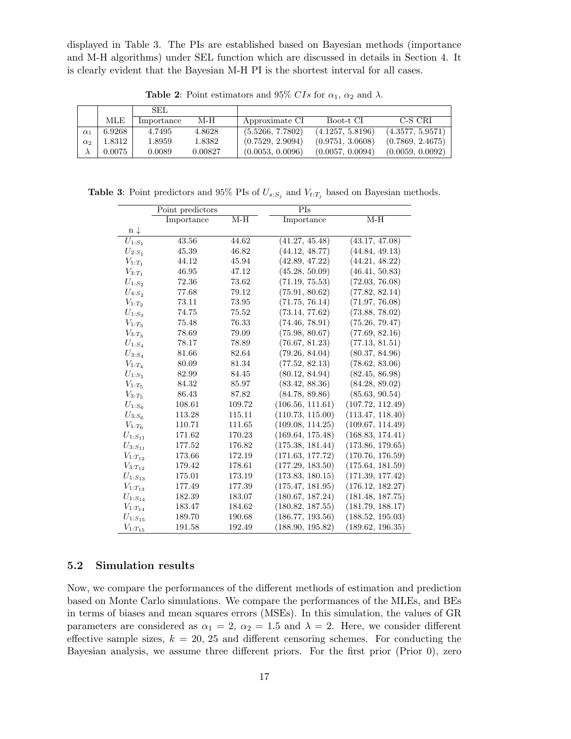displayed in Table 3. The PIs are established based on Bayesian methods (importance and M-H algorithms) under SEL function which are discussed in details in Section 4. It is clearly evident that the Bayesian M-H PI is the shortest interval for all cases.

|            |        | SEL.       |         |                  |                  |                  |
|------------|--------|------------|---------|------------------|------------------|------------------|
|            | MLE    | Importance | M-H     | Approximate CI   | Boot-t CI        | C-S CRI          |
| $\alpha_1$ | 6.9268 | 4.7495     | 4.8628  | (5.5266, 7.7802) | (4.1257, 5.8196) | (4.3577, 5.9571) |
| $\alpha_2$ | 1.8312 | 1.8959     | 1.8382  | (0.7529, 2.9094) | (0.9751, 3.0608) | (0.7869, 2.4675) |
| Λ          | 0.0075 | 0.0089     | 0.00827 | (0.0053, 0.0096) | (0.0057, 0.0094) | (0.0059, 0.0092) |

**Table 2**: Point estimators and 95% *CIs* for  $\alpha_1$ ,  $\alpha_2$  and  $\lambda$ .

**Table 3**: Point predictors and 95% PIs of  $U_{s:S_j}$  and  $V_{t:T_j}$  based on Bayesian methods.

|                       | Point predictors |        | PIs              |                  |
|-----------------------|------------------|--------|------------------|------------------|
|                       | Importance       | $M-H$  | Importance       | $M-H$            |
| $n \downarrow$        |                  |        |                  |                  |
| ${\cal U}_{1:S_1}$    | 43.56            | 44.62  | (41.27, 45.48)   | (43.17, 47.08)   |
| ${\cal U}_{2:S_1}$    | 45.39            | 46.82  | (44.12, 48.77)   | (44.84, 49.13)   |
| $V_{1:T_1}$           | 44.12            | 45.94  | (42.89, 47.22)   | (44.21, 48.22)   |
| $V_{3:T_1}$           | 46.95            | 47.12  | (45.28, 50.09)   | (46.41, 50.83)   |
| $U_{1:S_2}$           | 72.36            | 73.62  | (71.19, 75.53)   | (72.03, 76.08)   |
| $\mathcal{U}_{4:S_2}$ | 77.68            | 79.12  | (75.91, 80.62)   | (77.82, 82.14)   |
| $V_{1:T_2}$           | 73.11            | 73.95  | (71.75, 76.14)   | (71.97, 76.08)   |
| $U_{1:S_3}$           | 74.75            | 75.52  | (73.14, 77.62)   | (73.88, 78.02)   |
| $V_{1:T_3}$           | 75.48            | 76.33  | (74.46, 78.91)   | (75.26, 79.47)   |
| $V_{3:T_3}$           | 78.69            | 79.09  | (75.98, 80.67)   | (77.69, 82.16)   |
| ${\cal U}_{1:S_4}$    | 78.17            | 78.89  | (76.67, 81.23)   | (77.13, 81.51)   |
| $\mathcal{U}_{3:S_4}$ | 81.66            | 82.64  | (79.26, 84.04)   | (80.37, 84.96)   |
| $V_{1:T_4}$           | 80.09            | 81.34  | (77.52, 82.13)   | (78.62, 83.06)   |
| $U_{1:S_5}$           | 82.99            | 84.45  | (80.12, 84.94)   | (82.45, 86.98)   |
| $V_{1:T_5}$           | 84.32            | 85.97  | (83.42, 88.36)   | (84.28, 89.02)   |
| $V_{3:T_5}$           | 86.43            | 87.82  | (84.78, 89.86)   | (85.63, 90.54)   |
| ${\cal U}_{1:S_6}$    | 108.61           | 109.72 | (106.56, 111.61) | (107.72, 112.49) |
| $\mathcal{U}_{3:S_6}$ | 113.28           | 115.11 | (110.73, 115.00) | (113.47, 118.40) |
| $V_{1:T_6}$           | 110.71           | 111.65 | (109.08, 114.25) | (109.67, 114.49) |
| ${\cal U}_{1:S_{11}}$ | 171.62           | 170.23 | (169.64, 175.48) | (168.83, 174.41) |
| $U_{3:S_{11}}$        | 177.52           | 176.82 | (175.38, 181.44) | (173.86, 179.65) |
| $V_{1:T_{12}}$        | 173.66           | 172.19 | (171.63, 177.72) | (170.76, 176.59) |
| $V_{3:T_{12}}$        | 179.42           | 178.61 | (177.29, 183.50) | (175.64, 181.59) |
| $U_{1:S_{13}}$        | 175.01           | 173.19 | (173.83, 180.15) | (171.39, 177.42) |
| $V_{1:T_{13}}$        | 177.49           | 177.39 | (175.47, 181.95) | (176.12, 182.27) |
| ${\cal U}_{1:S_{14}}$ | 182.39           | 183.07 | (180.67, 187.24) | (181.48, 187.75) |
| $V_{1:T_{14}}$        | 183.47           | 184.62 | (180.82, 187.55) | (181.79, 188.17) |
| $U_{1:S_{15}}$        | 189.70           | 190.68 | (186.77, 193.56) | (188.52, 195.03) |
| $V_{1:T_{15}}$        | 191.58           | 192.49 | (188.90, 195.82) | (189.62, 196.35) |

### **5.2 Simulation results**

Now, we compare the performances of the different methods of estimation and prediction based on Monte Carlo simulations. We compare the performances of the MLEs, and BEs in terms of biases and mean squares errors (MSEs). In this simulation, the values of GR parameters are considered as  $\alpha_1 = 2$ ,  $\alpha_2 = 1.5$  and  $\lambda = 2$ . Here, we consider different effective sample sizes,  $k = 20, 25$  and different censoring schemes. For conducting the Bayesian analysis, we assume three different priors. For the first prior (Prior 0), zero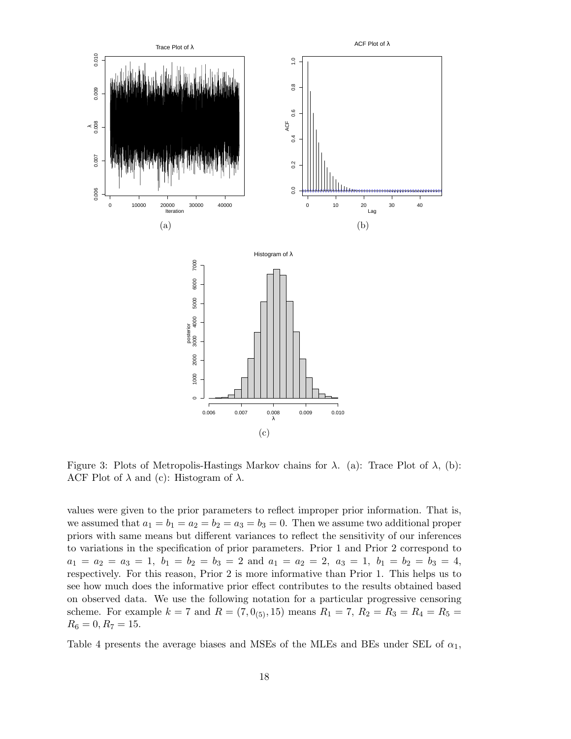

Figure 3: Plots of Metropolis-Hastings Markov chains for *λ*. (a): Trace Plot of *λ*, (b): ACF Plot of  $\lambda$  and (c): Histogram of  $\lambda$ .

values were given to the prior parameters to reflect improper prior information. That is, we assumed that  $a_1 = b_1 = a_2 = b_2 = a_3 = b_3 = 0$ . Then we assume two additional proper priors with same means but different variances to reflect the sensitivity of our inferences to variations in the specification of prior parameters. Prior 1 and Prior 2 correspond to  $a_1 = a_2 = a_3 = 1$ ,  $b_1 = b_2 = b_3 = 2$  and  $a_1 = a_2 = 2$ ,  $a_3 = 1$ ,  $b_1 = b_2 = b_3 = 4$ , respectively. For this reason, Prior 2 is more informative than Prior 1. This helps us to see how much does the informative prior effect contributes to the results obtained based on observed data. We use the following notation for a particular progressive censoring scheme. For example  $k = 7$  and  $R = (7, 0_{(5)}, 15)$  means  $R_1 = 7$ ,  $R_2 = R_3 = R_4 = R_5 =$  $R_6 = 0, R_7 = 15.$ 

Table 4 presents the average biases and MSEs of the MLEs and BEs under SEL of *α*1,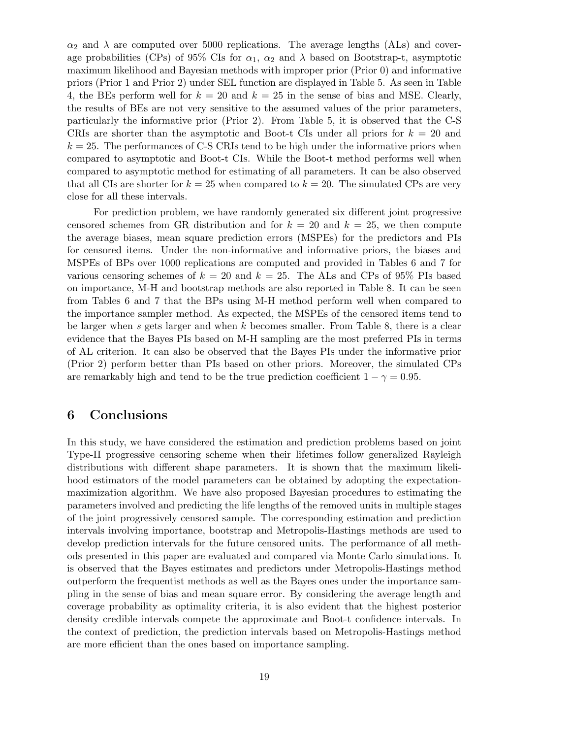$\alpha_2$  and  $\lambda$  are computed over 5000 replications. The average lengths (ALs) and coverage probabilities (CPs) of 95% CIs for  $\alpha_1$ ,  $\alpha_2$  and  $\lambda$  based on Bootstrap-t, asymptotic maximum likelihood and Bayesian methods with improper prior (Prior 0) and informative priors (Prior 1 and Prior 2) under SEL function are displayed in Table 5. As seen in Table 4, the BEs perform well for  $k = 20$  and  $k = 25$  in the sense of bias and MSE. Clearly, the results of BEs are not very sensitive to the assumed values of the prior parameters, particularly the informative prior (Prior 2). From Table 5, it is observed that the C-S CRIs are shorter than the asymptotic and Boot-t CIs under all priors for *k* = 20 and  $k = 25$ . The performances of C-S CRIs tend to be high under the informative priors when compared to asymptotic and Boot-t CIs. While the Boot-t method performs well when compared to asymptotic method for estimating of all parameters. It can be also observed that all CIs are shorter for  $k = 25$  when compared to  $k = 20$ . The simulated CPs are very close for all these intervals.

For prediction problem, we have randomly generated six different joint progressive censored schemes from GR distribution and for  $k = 20$  and  $k = 25$ , we then compute the average biases, mean square prediction errors (MSPEs) for the predictors and PIs for censored items. Under the non-informative and informative priors, the biases and MSPEs of BPs over 1000 replications are computed and provided in Tables 6 and 7 for various censoring schemes of  $k = 20$  and  $k = 25$ . The ALs and CPs of 95% PIs based on importance, M-H and bootstrap methods are also reported in Table 8. It can be seen from Tables 6 and 7 that the BPs using M-H method perform well when compared to the importance sampler method. As expected, the MSPEs of the censored items tend to be larger when *s* gets larger and when *k* becomes smaller. From Table 8, there is a clear evidence that the Bayes PIs based on M-H sampling are the most preferred PIs in terms of AL criterion. It can also be observed that the Bayes PIs under the informative prior (Prior 2) perform better than PIs based on other priors. Moreover, the simulated CPs are remarkably high and tend to be the true prediction coefficient  $1 - \gamma = 0.95$ .

### **6 Conclusions**

In this study, we have considered the estimation and prediction problems based on joint Type-II progressive censoring scheme when their lifetimes follow generalized Rayleigh distributions with different shape parameters. It is shown that the maximum likelihood estimators of the model parameters can be obtained by adopting the expectationmaximization algorithm. We have also proposed Bayesian procedures to estimating the parameters involved and predicting the life lengths of the removed units in multiple stages of the joint progressively censored sample. The corresponding estimation and prediction intervals involving importance, bootstrap and Metropolis-Hastings methods are used to develop prediction intervals for the future censored units. The performance of all methods presented in this paper are evaluated and compared via Monte Carlo simulations. It is observed that the Bayes estimates and predictors under Metropolis-Hastings method outperform the frequentist methods as well as the Bayes ones under the importance sampling in the sense of bias and mean square error. By considering the average length and coverage probability as optimality criteria, it is also evident that the highest posterior density credible intervals compete the approximate and Boot-t confidence intervals. In the context of prediction, the prediction intervals based on Metropolis-Hastings method are more efficient than the ones based on importance sampling.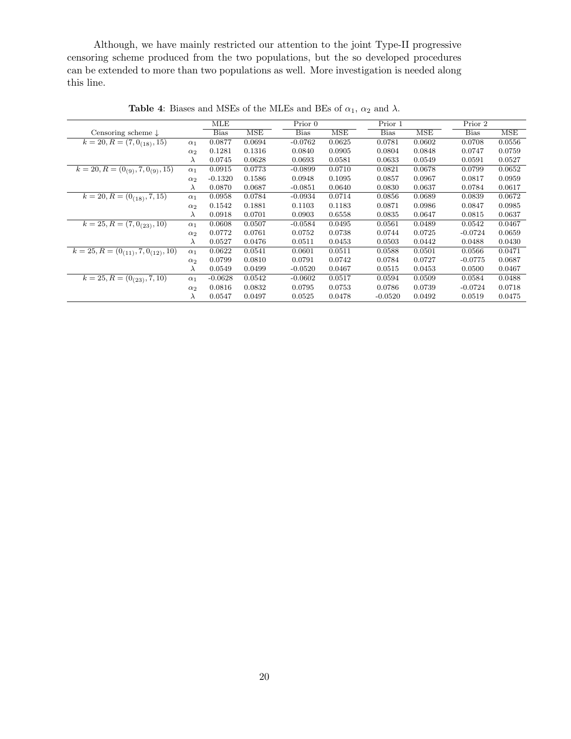Although, we have mainly restricted our attention to the joint Type-II progressive censoring scheme produced from the two populations, but the so developed procedures can be extended to more than two populations as well. More investigation is needed along this line.

|                                           |                       | MLE         |            | Prior 0     |            | Prior 1     |        | Prior 2     |        |
|-------------------------------------------|-----------------------|-------------|------------|-------------|------------|-------------|--------|-------------|--------|
| Censoring scheme $\downarrow$             |                       | <b>Bias</b> | <b>MSE</b> | <b>Bias</b> | <b>MSE</b> | <b>Bias</b> | MSE    | <b>Bias</b> | MSE    |
| $k = 20, R = (7, 0_{(18)}, 15)$           | $\alpha_1$            | 0.0877      | 0.0694     | $-0.0762$   | 0.0625     | 0.0781      | 0.0602 | 0.0708      | 0.0556 |
|                                           | $\alpha_2$            | 0.1281      | 0.1316     | 0.0840      | 0.0905     | 0.0804      | 0.0848 | 0.0747      | 0.0759 |
|                                           | $\lambda$             | 0.0745      | 0.0628     | 0.0693      | 0.0581     | 0.0633      | 0.0549 | 0.0591      | 0.0527 |
| $k = 20, R = (0_{(9)}, 7, 0_{(9)}, 15)$   | $\alpha_1$            | 0.0915      | 0.0773     | $-0.0899$   | 0.0710     | 0.0821      | 0.0678 | 0.0799      | 0.0652 |
|                                           | $\alpha_2$            | $-0.1320$   | 0.1586     | 0.0948      | 0.1095     | 0.0857      | 0.0967 | 0.0817      | 0.0959 |
|                                           | $\lambda$             | 0.0870      | 0.0687     | $-0.0851$   | 0.0640     | 0.0830      | 0.0637 | 0.0784      | 0.0617 |
| $k = 20, R = (0_{(18)}, 7, 15)$           | $\alpha_1$            | 0.0958      | 0.0784     | $-0.0934$   | 0.0714     | 0.0856      | 0.0689 | 0.0839      | 0.0672 |
|                                           | $\alpha$ <sup>2</sup> | 0.1542      | 0.1881     | 0.1103      | 0.1183     | 0.0871      | 0.0986 | 0.0847      | 0.0985 |
|                                           | $\lambda$             | 0.0918      | 0.0701     | 0.0903      | 0.6558     | 0.0835      | 0.0647 | 0.0815      | 0.0637 |
| $k = 25, R = (7, 0_{(23)}, 10)$           | $\alpha_1$            | 0.0608      | 0.0507     | $-0.0584$   | 0.0495     | 0.0561      | 0.0489 | 0.0542      | 0.0467 |
|                                           | $\alpha_2$            | 0.0772      | 0.0761     | 0.0752      | 0.0738     | 0.0744      | 0.0725 | $-0.0724$   | 0.0659 |
|                                           | $\lambda$             | 0.0527      | 0.0476     | 0.0511      | 0.0453     | 0.0503      | 0.0442 | 0.0488      | 0.0430 |
| $k = 25, R = (0_{(11)}, 7, 0_{(12)}, 10)$ | $\alpha_1$            | 0.0622      | 0.0541     | 0.0601      | 0.0511     | 0.0588      | 0.0501 | 0.0566      | 0.0471 |
|                                           | $\alpha_2$            | 0.0799      | 0.0810     | 0.0791      | 0.0742     | 0.0784      | 0.0727 | $-0.0775$   | 0.0687 |
|                                           | $\lambda$             | 0.0549      | 0.0499     | $-0.0520$   | 0.0467     | 0.0515      | 0.0453 | 0.0500      | 0.0467 |
| $k = 25, R = (0_{(23)}, 7, 10)$           | $\alpha_1$            | $-0.0628$   | 0.0542     | $-0.0602$   | 0.0517     | 0.0594      | 0.0509 | 0.0584      | 0.0488 |
|                                           | $\alpha_2$            | 0.0816      | 0.0832     | 0.0795      | 0.0753     | 0.0786      | 0.0739 | $-0.0724$   | 0.0718 |
|                                           | $\lambda$             | 0.0547      | 0.0497     | 0.0525      | 0.0478     | $-0.0520$   | 0.0492 | 0.0519      | 0.0475 |

**Table 4**: Biases and MSEs of the MLEs and BEs of  $\alpha_1$ ,  $\alpha_2$  and  $\lambda$ .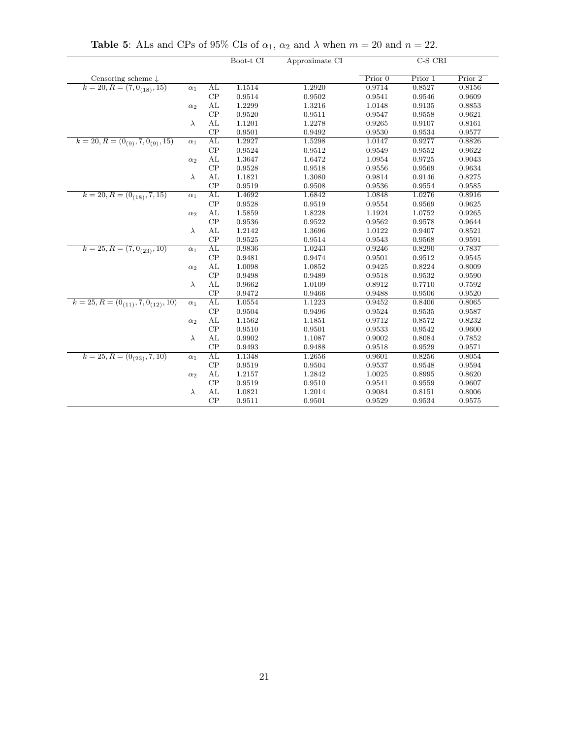|                                           |            |    | Boot-t CI | Approximate CI |           | $C-S$ $CRI$ |         |
|-------------------------------------------|------------|----|-----------|----------------|-----------|-------------|---------|
| Censoring scheme $\downarrow$             |            |    |           |                | Prior $0$ | Prior 1     | Prior 2 |
| $k = 20, R = (7, 0_{(18)}, 15)$           | $\alpha_1$ | AL | 1.1514    | 1.2920         | 0.9714    | 0.8527      | 0.8156  |
|                                           |            | CP | 0.9514    | 0.9502         | 0.9541    | 0.9546      | 0.9609  |
|                                           | $\alpha_2$ | AL | 1.2299    | 1.3216         | 1.0148    | 0.9135      | 0.8853  |
|                                           |            | CP | 0.9520    | 0.9511         | 0.9547    | 0.9558      | 0.9621  |
|                                           | $\lambda$  | AL | 1.1201    | 1.2278         | 0.9265    | 0.9107      | 0.8161  |
|                                           |            | CP | 0.9501    | 0.9492         | 0.9530    | 0.9534      | 0.9577  |
| $k = 20, R = (0_{(9)}, 7, 0_{(9)}, 15)$   | $\alpha_1$ | AL | 1.2927    | 1.5298         | 1.0147    | 0.9277      | 0.8826  |
|                                           |            | CP | 0.9524    | 0.9512         | 0.9549    | 0.9552      | 0.9622  |
|                                           | $\alpha_2$ | AL | 1.3647    | 1.6472         | 1.0954    | 0.9725      | 0.9043  |
|                                           |            | CP | 0.9528    | 0.9518         | 0.9556    | 0.9569      | 0.9634  |
|                                           | $\lambda$  | AL | 1.1821    | 1.3080         | 0.9814    | 0.9146      | 0.8275  |
|                                           |            | CP | 0.9519    | 0.9508         | 0.9536    | 0.9554      | 0.9585  |
| $k = 20, R = (0_{(18)}, 7, 15)$           | $\alpha_1$ | AL | 1.4692    | 1.6842         | 1.0848    | 1.0276      | 0.8916  |
|                                           |            | CP | 0.9528    | 0.9519         | 0.9554    | 0.9569      | 0.9625  |
|                                           | $\alpha_2$ | AL | 1.5859    | 1.8228         | 1.1924    | 1.0752      | 0.9265  |
|                                           |            | CP | 0.9536    | 0.9522         | 0.9562    | 0.9578      | 0.9644  |
|                                           | $\lambda$  | AL | 1.2142    | 1.3696         | 1.0122    | 0.9407      | 0.8521  |
|                                           |            | CP | 0.9525    | 0.9514         | 0.9543    | 0.9568      | 0.9591  |
| $k = 25, R = (7, 0_{(23)}, 10)$           | $\alpha_1$ | AL | 0.9836    | 1.0243         | 0.9246    | 0.8290      | 0.7837  |
|                                           |            | CP | 0.9481    | 0.9474         | 0.9501    | 0.9512      | 0.9545  |
|                                           | $\alpha_2$ | AL | 1.0098    | 1.0852         | 0.9425    | 0.8224      | 0.8009  |
|                                           |            | CP | 0.9498    | 0.9489         | 0.9518    | 0.9532      | 0.9590  |
|                                           | $\lambda$  | AL | 0.9662    | 1.0109         | 0.8912    | 0.7710      | 0.7592  |
|                                           |            | CP | 0.9472    | 0.9466         | 0.9488    | 0.9506      | 0.9520  |
| $k = 25, R = (0_{(11)}, 7, 0_{(12)}, 10)$ | $\alpha_1$ | AL | 1.0554    | 1.1223         | 0.9452    | 0.8406      | 0.8065  |
|                                           |            | CP | 0.9504    | 0.9496         | 0.9524    | 0.9535      | 0.9587  |
|                                           | $\alpha_2$ | AL | 1.1562    | 1.1851         | 0.9712    | 0.8572      | 0.8232  |
|                                           |            | CP | 0.9510    | 0.9501         | 0.9533    | 0.9542      | 0.9600  |
|                                           | $\lambda$  | AL | 0.9902    | 1.1087         | 0.9002    | 0.8084      | 0.7852  |
|                                           |            | CP | 0.9493    | 0.9488         | 0.9518    | 0.9529      | 0.9571  |
| $k = 25, R = (0_{(23)}, 7, 10)$           | $\alpha_1$ | AL | 1.1348    | 1.2656         | 0.9601    | 0.8256      | 0.8054  |
|                                           |            | CP | 0.9519    | 0.9504         | 0.9537    | 0.9548      | 0.9594  |
|                                           | $\alpha_2$ | AL | 1.2157    | 1.2842         | 1.0025    | 0.8995      | 0.8620  |
|                                           |            | CP | 0.9519    | 0.9510         | 0.9541    | 0.9559      | 0.9607  |
|                                           | $\lambda$  | AL | 1.0821    | 1.2014         | 0.9084    | 0.8151      | 0.8006  |
|                                           |            | CP | 0.9511    | 0.9501         | 0.9529    | 0.9534      | 0.9575  |

**Table 5**: ALs and CPs of 95% CIs of  $\alpha_1$ ,  $\alpha_2$  and  $\lambda$  when  $m = 20$  and  $n = 22$ .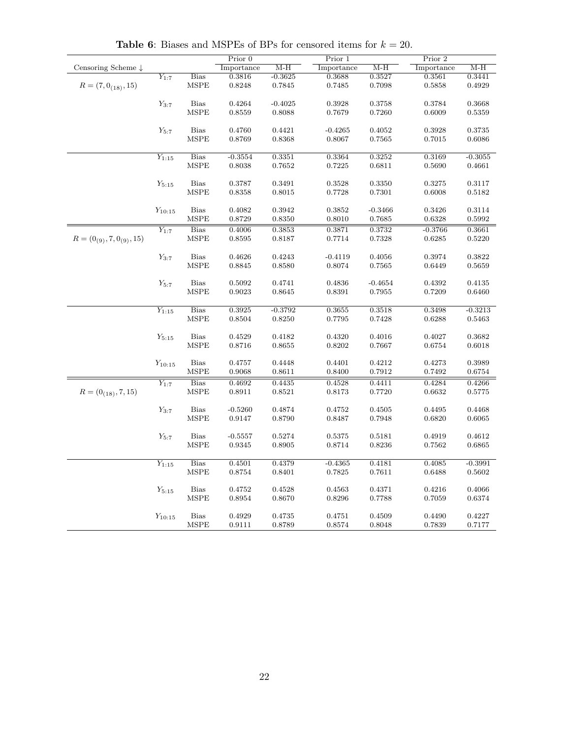|                                 |             |             | Prior 0    |           | Prior 1    |           | Prior 2    |           |
|---------------------------------|-------------|-------------|------------|-----------|------------|-----------|------------|-----------|
| Censoring Scheme $\downarrow$   |             |             | Importance | $M-H$     | Importance | $M-H$     | Importance | $M-H$     |
|                                 | $Y_{1:7}$   | <b>Bias</b> | 0.3816     | $-0.3625$ | 0.3688     | 0.3527    | 0.3561     | 0.3441    |
| $R = (7, 0_{(18)}, 15)$         |             | MSPE        | 0.8248     | 0.7845    | 0.7485     | 0.7098    | 0.5858     | 0.4929    |
|                                 | $Y_{3:7}$   | <b>Bias</b> | 0.4264     | $-0.4025$ | 0.3928     | 0.3758    | 0.3784     | 0.3668    |
|                                 |             | <b>MSPE</b> | 0.8559     | 0.8088    | 0.7679     | 0.7260    | 0.6009     | 0.5359    |
|                                 |             |             |            |           |            |           |            |           |
|                                 | $Y_{5:7}$   | <b>Bias</b> | 0.4760     | 0.4421    | $-0.4265$  | 0.4052    | 0.3928     | 0.3735    |
|                                 |             | MSPE        | 0.8769     | 0.8368    | 0.8067     | 0.7565    | 0.7015     | 0.6086    |
|                                 |             | <b>Bias</b> |            |           | 0.3364     | 0.3252    | 0.3169     |           |
|                                 | $Y_{1:15}$  |             | $-0.3554$  | 0.3351    |            |           |            | $-0.3055$ |
|                                 |             | <b>MSPE</b> | 0.8038     | 0.7652    | 0.7225     | 0.6811    | 0.5690     | 0.4661    |
|                                 | $Y_{5:15}$  | <b>Bias</b> | 0.3787     | 0.3491    | 0.3528     | 0.3350    | 0.3275     | 0.3117    |
|                                 |             | <b>MSPE</b> | 0.8358     | 0.8015    | 0.7728     | 0.7301    | 0.6008     | 0.5182    |
|                                 |             |             |            |           |            |           |            |           |
|                                 | $Y_{10:15}$ | <b>Bias</b> | 0.4082     | 0.3942    | 0.3852     | $-0.3466$ | 0.3426     | 0.3114    |
|                                 |             | <b>MSPE</b> | 0.8729     | 0.8350    | 0.8010     | 0.7685    | 0.6328     | 0.5992    |
|                                 | $Y_{1:7}$   | <b>Bias</b> | 0.4006     | 0.3853    | 0.3871     | 0.3732    | $-0.3766$  | 0.3661    |
| $R = (0_{(9)}, 7, 0_{(9)}, 15)$ |             | MSPE        | 0.8595     | 0.8187    | 0.7714     | 0.7328    | 0.6285     | 0.5220    |
|                                 | $Y_{3:7}$   | <b>Bias</b> | 0.4626     | 0.4243    | $-0.4119$  | 0.4056    | 0.3974     | 0.3822    |
|                                 |             | MSPE        | 0.8845     | 0.8580    | 0.8074     | 0.7565    | 0.6449     | 0.5659    |
|                                 |             |             |            |           |            |           |            |           |
|                                 | $Y_{5:7}$   | <b>Bias</b> | 0.5092     | 0.4741    | 0.4836     | $-0.4654$ | 0.4392     | 0.4135    |
|                                 |             | <b>MSPE</b> | 0.9023     | 0.8645    | 0.8391     | 0.7955    | 0.7209     | 0.6460    |
|                                 |             |             |            |           |            |           |            |           |
|                                 | $Y_{1:15}$  | <b>Bias</b> | 0.3925     | $-0.3792$ | 0.3655     | 0.3518    | 0.3498     | $-0.3213$ |
|                                 |             | <b>MSPE</b> | 0.8504     | 0.8250    | 0.7795     | 0.7428    | 0.6288     | 0.5463    |
|                                 | $Y_{5:15}$  | <b>Bias</b> | 0.4529     | 0.4182    | 0.4320     | 0.4016    | 0.4027     | 0.3682    |
|                                 |             | MSPE        | 0.8716     | 0.8655    | 0.8202     | 0.7667    | 0.6754     | 0.6018    |
|                                 |             |             |            |           |            |           |            |           |
|                                 | $Y_{10:15}$ | <b>Bias</b> | 0.4757     | 0.4448    | 0.4401     | 0.4212    | 0.4273     | 0.3989    |
|                                 |             | <b>MSPE</b> | 0.9068     | 0.8611    | 0.8400     | 0.7912    | 0.7492     | 0.6754    |
|                                 | $Y_{1:7}$   | <b>Bias</b> | 0.4692     | 0.4435    | 0.4528     | 0.4411    | 0.4284     | 0.4266    |
| $R = (0_{(18)}, 7, 15)$         |             | MSPE        | 0.8911     | 0.8521    | $0.8173\,$ | 0.7720    | 0.6632     | 0.5775    |
|                                 |             |             |            |           |            |           |            |           |
|                                 | $Y_{3:7}$   | <b>Bias</b> | $-0.5260$  | 0.4874    | 0.4752     | 0.4505    | 0.4495     | 0.4468    |
|                                 |             | MSPE        | 0.9147     | 0.8790    | 0.8487     | 0.7948    | 0.6820     | 0.6065    |
|                                 | $Y_{5:7}$   | <b>Bias</b> | $-0.5557$  | 0.5274    | 0.5375     | 0.5181    | 0.4919     | 0.4612    |
|                                 |             | MSPE        | 0.9345     | 0.8905    | 0.8714     | 0.8236    | 0.7562     | 0.6865    |
|                                 |             |             |            |           |            |           |            |           |
|                                 | $Y_{1:15}$  | <b>Bias</b> | 0.4501     | 0.4379    | $-0.4365$  | 0.4181    | 0.4085     | $-0.3991$ |
|                                 |             | MSPE        | 0.8754     | 0.8401    | 0.7825     | 0.7611    | 0.6488     | 0.5602    |
|                                 |             |             |            |           |            |           |            |           |
|                                 | $Y_{5:15}$  | <b>Bias</b> | 0.4752     | 0.4528    | 0.4563     | 0.4371    | 0.4216     | 0.4066    |
|                                 |             | <b>MSPE</b> | 0.8954     | 0.8670    | 0.8296     | 0.7788    | 0.7059     | 0.6374    |
|                                 | $Y_{10:15}$ | <b>Bias</b> | 0.4929     | 0.4735    | 0.4751     | 0.4509    | 0.4490     | 0.4227    |
|                                 |             | MSPE        | 0.9111     | 0.8789    | 0.8574     | 0.8048    | 0.7839     | 0.7177    |
|                                 |             |             |            |           |            |           |            |           |

**Table 6:** Biases and MSPEs of BPs for censored items for  $k = 20$ .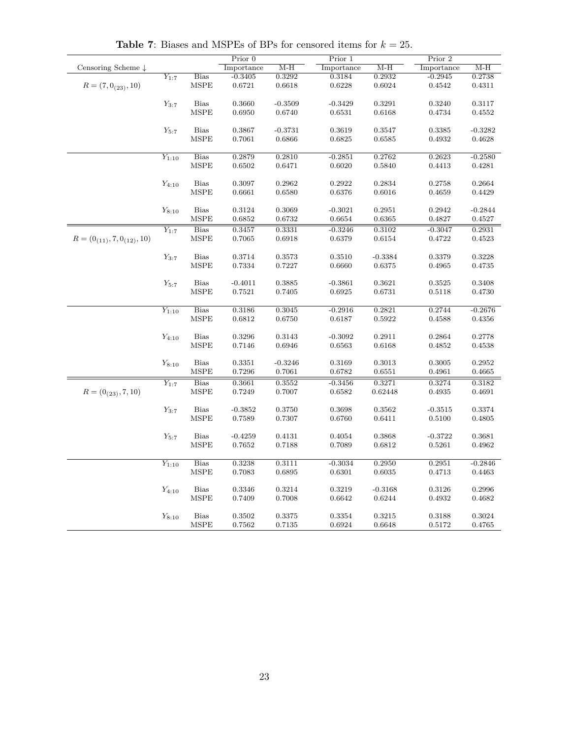|                                   |            |                 | Prior 0    |           | Prior 1    |           | Prior 2    |           |
|-----------------------------------|------------|-----------------|------------|-----------|------------|-----------|------------|-----------|
| Censoring Scheme $\downarrow$     |            |                 | Importance | $M-H$     | Importance | $M-H$     | Importance | $M-H$     |
|                                   | $Y_{1:7}$  | <b>Bias</b>     | $-0.3405$  | 0.3292    | 0.3184     | 0.2932    | $-0.2945$  | 0.2738    |
| $R = (7, 0_{(23)}, 10)$           |            | <b>MSPE</b>     | 0.6721     | 0.6618    | 0.6228     | 0.6024    | 0.4542     | 0.4311    |
|                                   |            |                 |            |           |            |           |            |           |
|                                   | $Y_{3:7}$  | $\mathrm{Bias}$ | 0.3660     | $-0.3509$ | $-0.3429$  | 0.3291    | 0.3240     | 0.3117    |
|                                   |            | MSPE            | 0.6950     | 0.6740    | 0.6531     | 0.6168    | 0.4734     | 0.4552    |
|                                   |            |                 |            |           |            |           |            |           |
|                                   | $Y_{5:7}$  | <b>Bias</b>     | 0.3867     | $-0.3731$ | 0.3619     | 0.3547    | 0.3385     | $-0.3282$ |
|                                   |            | <b>MSPE</b>     | 0.7061     | 0.6866    | 0.6825     | 0.6585    | 0.4932     | 0.4628    |
|                                   |            |                 |            |           |            |           |            |           |
|                                   | $Y_{1:10}$ | Bias            | 0.2879     | 0.2810    | $-0.2851$  | 0.2762    | 0.2623     | $-0.2580$ |
|                                   |            | MSPE            | 0.6502     | 0.6471    | 0.6020     | 0.5840    | 0.4413     | 0.4281    |
|                                   |            |                 |            |           |            |           |            |           |
|                                   | $Y_{4:10}$ | <b>Bias</b>     | 0.3097     | 0.2962    | 0.2922     | 0.2834    | 0.2758     | 0.2664    |
|                                   |            | MSPE            | 0.6661     | 0.6580    | 0.6376     | 0.6016    | 0.4659     | 0.4429    |
|                                   |            |                 |            |           |            |           |            |           |
|                                   | $Y_{8:10}$ | <b>Bias</b>     | 0.3124     | 0.3069    | $-0.3021$  | 0.2951    | 0.2942     | $-0.2844$ |
|                                   |            | <b>MSPE</b>     | 0.6852     | 0.6732    | 0.6654     | 0.6365    | 0.4827     | 0.4527    |
|                                   | $Y_{1:7}$  | <b>Bias</b>     | 0.3457     | 0.3331    | $-0.3246$  | 0.3102    | $-0.3047$  | 0.2931    |
| $R = (0_{(11)}, 7, 0_{(12)}, 10)$ |            | MSPE            | 0.7065     | 0.6918    | 0.6379     | 0.6154    | 0.4722     | 0.4523    |
|                                   |            |                 |            |           |            |           |            |           |
|                                   | $Y_{3:7}$  | Bias            | 0.3714     | 0.3573    | 0.3510     | $-0.3384$ | 0.3379     | 0.3228    |
|                                   |            | <b>MSPE</b>     | 0.7334     | 0.7227    | 0.6660     | 0.6375    | 0.4965     | 0.4735    |
|                                   |            |                 |            |           |            |           |            |           |
|                                   | $Y_{5:7}$  | <b>Bias</b>     | $-0.4011$  | 0.3885    | $-0.3861$  | 0.3621    | 0.3525     | 0.3408    |
|                                   |            | MSPE            | 0.7521     | 0.7405    | 0.6925     | 0.6731    | 0.5118     | 0.4730    |
|                                   |            |                 |            |           |            |           |            |           |
|                                   | $Y_{1:10}$ | <b>Bias</b>     | 0.3186     | 0.3045    | $-0.2916$  | 0.2821    | 0.2744     | $-0.2676$ |
|                                   |            | <b>MSPE</b>     | 0.6812     | 0.6750    | 0.6187     | 0.5922    | 0.4588     | 0.4356    |
|                                   |            |                 |            |           |            |           |            |           |
|                                   | $Y_{4:10}$ | <b>Bias</b>     | 0.3296     | 0.3143    | $-0.3092$  | 0.2911    | 0.2864     | 0.2778    |
|                                   |            | <b>MSPE</b>     | 0.7146     | 0.6946    | 0.6563     | 0.6168    | 0.4852     | 0.4538    |
|                                   |            |                 |            |           |            |           |            |           |
|                                   | $Y_{8:10}$ | <b>Bias</b>     | 0.3351     | $-0.3246$ | 0.3169     | 0.3013    | 0.3005     | 0.2952    |
|                                   |            | <b>MSPE</b>     | 0.7296     | 0.7061    | 0.6782     | 0.6551    | 0.4961     | 0.4665    |
|                                   | $Y_{1:7}$  | Bias            | 0.3661     | 0.3552    | $-0.3456$  | 0.3271    | 0.3274     | 0.3182    |
| $R = (0_{(23)}, 7, 10)$           |            | MSPE            | 0.7249     | 0.7007    | 0.6582     | 0.62448   | 0.4935     | 0.4691    |
|                                   |            |                 |            |           |            |           |            |           |
|                                   | $Y_{3:7}$  | <b>Bias</b>     | $-0.3852$  | 0.3750    | 0.3698     | 0.3562    | $-0.3515$  | 0.3374    |
|                                   |            | <b>MSPE</b>     | 0.7589     | 0.7307    | 0.6760     | 0.6411    | 0.5100     | 0.4805    |
|                                   |            |                 |            |           |            |           |            |           |
|                                   | $Y_{5:7}$  | $\rm Bias$      | $-0.4259$  | 0.4131    | 0.4054     | 0.3868    | $-0.3722$  | 0.3681    |
|                                   |            | <b>MSPE</b>     | 0.7652     | 0.7188    | 0.7089     | 0.6812    | 0.5261     | 0.4962    |
|                                   |            |                 |            |           |            |           |            |           |
|                                   | $Y_{1:10}$ | <b>Bias</b>     | 0.3238     | 0.3111    | $-0.3034$  | 0.2950    | 0.2951     | $-0.2846$ |
|                                   |            | <b>MSPE</b>     | 0.7083     | 0.6895    | 0.6301     | 0.6035    | 0.4713     | 0.4463    |
|                                   |            |                 |            |           |            |           |            |           |
|                                   | $Y_{4:10}$ | $\rm Bias$      | 0.3346     | 0.3214    | 0.3219     | $-0.3168$ | 0.3126     | 0.2996    |
|                                   |            | MSPE            | 0.7409     | 0.7008    | 0.6642     | 0.6244    | 0.4932     | 0.4682    |
|                                   | $Y_{8:10}$ | Bias            | 0.3502     | 0.3375    | 0.3354     | 0.3215    | 0.3188     | 0.3024    |
|                                   |            | <b>MSPE</b>     | 0.7562     | 0.7135    | 0.6924     | 0.6648    | 0.5172     | 0.4765    |
|                                   |            |                 |            |           |            |           |            |           |

**Table 7:** Biases and MSPEs of BPs for censored items for  $k = 25$ .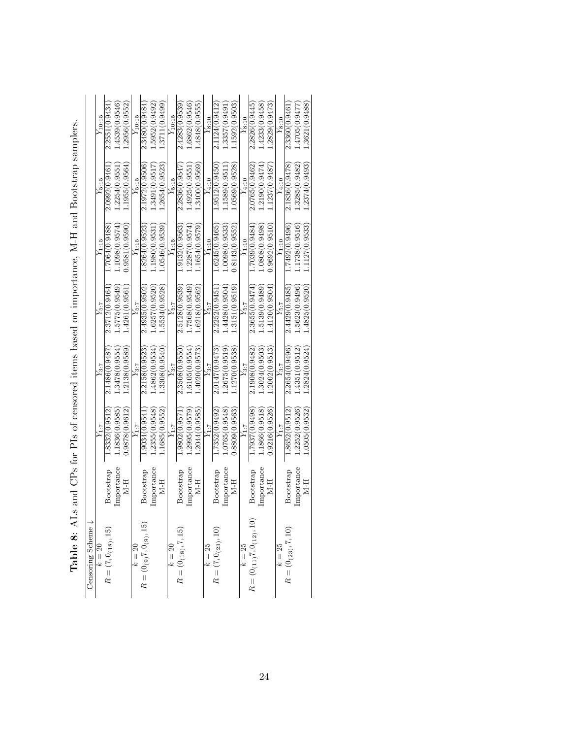| Censoring Scheme $\downarrow$  |            |               |                |                |                |                |                |
|--------------------------------|------------|---------------|----------------|----------------|----------------|----------------|----------------|
| $k = 20$                       |            | $Y_{1:T}$     | $Y_{3:7}$      | $Y_{5:7}$      | $Y_{1.15}$     | $Y_{5:15}$     | $Y_{10:15}$    |
| $R=(7,0_{\left(18\right)},15)$ | Bootstrap  | 1.8332(0.9512 | 2.1486(0.9487  | 2.3712(0.9464  | 1.7064(0.9488) | 2.0992(0.9461  | 2.2551(0.9434) |
|                                | Importance | 1.1836(0.9585 | 1.3478(0.9554) | .5775(0.9549)  | 1.1098(0.9574) | 1.2254(0.9551  | 1.4539(0.9546) |
|                                | H-R        | 0.9878(0.9612 | .2138(0.9589   | 4261(0.9561    | 0.9581(0.9590) | 1.1955(0.9564) | 1.2956(0.9552) |
| $k = 20$                       |            | $Y_{1:7}$     | $Y_{3\cdot 7}$ | $Y_{5:7}$      | $Y_{1:15}$     | $Y_{5:15}$     | $Y_{10:15}$    |
| $R=(0_{(9)}7,0_{(9)},15)$      | Bootstrap  | 1.9034(0.9541 | 2.2158(0.9523) | 2.4935(0.9502) | 1.8264(0.9523) | 2.1972(0.9506) | 2.3480(0.9484) |
|                                | Importance | .2355(0.9548  | 1.4862(0.9534  | .6257(0.9520)  | 1.1980(0.9531  | 1.3491(0.9517  | 1.5952(0.9492) |
|                                | H-N        | 1.1685(0.9552 | 1.3308(0.9540  | .5534(0.9528)  | 1.0546(0.9539  | 1.2654(0.9523) | 1.3711(0.9499  |
| $k=20$                         |            | $Y_{1:T}$     | $Y_{3:7}$      | $Y_{5:7}$      | $Y_{1:15}$     | $Y_{5:15}$     | $Y_{10:15}$    |
| $R = (0_{(18)}, 7, 15)$        | Bootstrap  | 1.9802(0.9571 | 2.3508(0.9550) | 2.5128(0.9539) | 1.9132(0.9563) | 2.2836(0.9547) | 2.4283(0.9539) |
|                                | Importance | 1.2995(0.9579 | 1.6105(0.9554  | 7568(0.9549    | 1.2287(0.9574) | 1.4925 (0.9551 | 1.6862(0.9546) |
|                                | H-N        | .2044(0.9585  | .4020(0.9573   | .6218(0.9562   | 1654(0.9579)   | 1.3400 (0.9569 | 1.4848(0.9555  |
| $k=25$                         |            | $Y_{1:7}$     | $Y_{3:7}$      | $Y_{5:7}$      |                | $Y_{4:10}$     | $Y_{8:10}$     |
| $R=(7,0_{(23)},10)$            | Bootstrap  | 1.7352(0.9492 | 2.0147(0.9473  | 2.2252(0.9451  | 1.6245(0.9465  | 1.9512(0.9450  | 2.1124(0.9412) |
|                                | Importance | 1.0765(0.9548 | 1.2675(0.9519  | 1.4428(0.9504) | 1.0098(0.9533) | 1.1589 (0.9511 | 1.3357(0.949)  |
|                                | N-H        | 0.8809(0.9563 | 1.1270(0.9538  | 3151(0.9519    | 0.8143(0.9552  | 1.0569(0.9528) | 1.1592(0.9503  |
| $k = 25$                       |            | $Y_{1:T}$     | $Y_{3:T}$      | $Y_{5:7}$      | $Y_{1:10}$     | $Y_{4:10}$     | $Y_{8:10}$     |
| $R=(0_{(11)}7,0_{(12)},10)$    | Bootstrap  | 1.7937(0.9498 | 2.1908(0.9482  | 2.3655 (0.9474 | 1.7039 (0.9484 | 2.0765 (0.9462 | 2.2826(0.9445) |
|                                | Importance | 1.1866(0.9518 | 1.3024(0.9503  | .5139(0.9489)  | 1.0808(0.9498) | 1.2190(0.9474) | 1.4233(0.9458) |
|                                | H-N        | 0.9216(0.9526 | 2002(0.9513    | .4120(0.9504   | 0.9692(0.9510  | 1.1237(0.9487  | 1.2829(0.9473) |
| $k = 25$                       |            | $Y_{1:T}$     | $Y_{3:7}$      | $Y_{5:7}$      | $Y_{1:10}$     | $Y_{4:10}$     | $Y_{8:10}$     |
| $R=(0_{(23)},7,10)$            | Bootstrap  | 1.8652(0.9512 | 2.2654(0.9496) | 2.4429(0.9485) | 1.7492(0.9496) | 2.1836(0.9478) | 2.3360(0.9461  |
|                                | Importance | .2252(0.9526  | 1.4351(0.9512  | 5623(0.9496    | 1.1738(0.9516) | 1.3285(0.9482) | 1.4705(0.9477  |
|                                | N-H        | 1.0505(0.9532 | .2824(0.9524   | 1.4825(0.9520  | 1.1127(0.9533  | 1.2374(0.9493  | 1.3621(0.9488) |
|                                |            |               |                |                |                |                |                |

| Ì<br>Contractors of<br>l                                                                                                                                                                                                            |
|-------------------------------------------------------------------------------------------------------------------------------------------------------------------------------------------------------------------------------------|
| ;<br>;<br>;<br>$\frac{1}{2}$<br>$\overline{\phantom{a}}$                                                                                                                                                                            |
| うりょう<br>i                                                                                                                                                                                                                           |
| $\frac{1}{2}$<br>$\frac{1}{1}$                                                                                                                                                                                                      |
| content to the content of content of the content of the content of content of the content of the content of the content of the content of the content of the content of the content of the content of the content of the conte<br>l |
|                                                                                                                                                                                                                                     |
|                                                                                                                                                                                                                                     |
| in the composition of                                                                                                                                                                                                               |
|                                                                                                                                                                                                                                     |
| $\frac{1}{2}$<br>$\frac{1}{2}$                                                                                                                                                                                                      |
| . שמודים השיי<br>、<br>-<br>、<br>$\frac{1}{4}$                                                                                                                                                                                       |
| くらく<br>$\overline{a}$                                                                                                                                                                                                               |
| . 8.1                                                                                                                                                                                                                               |
| Tahla S<br>י הממדה -                                                                                                                                                                                                                |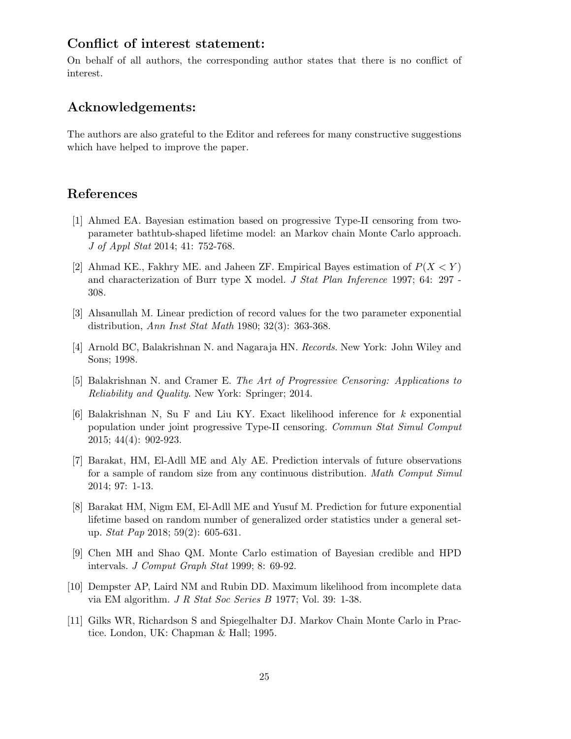### **Conflict of interest statement:**

On behalf of all authors, the corresponding author states that there is no conflict of interest.

## **Acknowledgements:**

The authors are also grateful to the Editor and referees for many constructive suggestions which have helped to improve the paper.

### **References**

- [1] Ahmed EA. Bayesian estimation based on progressive Type-II censoring from twoparameter bathtub-shaped lifetime model: an Markov chain Monte Carlo approach. *J of Appl Stat* 2014; 41: 752-768.
- [2] Ahmad KE., Fakhry ME. and Jaheen ZF. Empirical Bayes estimation of *P*(*X < Y* ) and characterization of Burr type X model. *J Stat Plan Inference* 1997; 64: 297 - 308.
- [3] Ahsanullah M. Linear prediction of record values for the two parameter exponential distribution, *Ann Inst Stat Math* 1980; 32(3): 363-368.
- [4] Arnold BC, Balakrishnan N. and Nagaraja HN. *Records*. New York: John Wiley and Sons; 1998.
- [5] Balakrishnan N. and Cramer E. *The Art of Progressive Censoring: Applications to Reliability and Quality*. New York: Springer; 2014.
- [6] Balakrishnan N, Su F and Liu KY. Exact likelihood inference for *k* exponential population under joint progressive Type-II censoring. *Commun Stat Simul Comput* 2015; 44(4): 902-923.
- [7] Barakat, HM, El-Adll ME and Aly AE. Prediction intervals of future observations for a sample of random size from any continuous distribution. *Math Comput Simul* 2014; 97: 1-13.
- [8] Barakat HM, Nigm EM, El-Adll ME and Yusuf M. Prediction for future exponential lifetime based on random number of generalized order statistics under a general setup. *Stat Pap* 2018; 59(2): 605-631.
- [9] Chen MH and Shao QM. Monte Carlo estimation of Bayesian credible and HPD intervals. *J Comput Graph Stat* 1999; 8: 69-92.
- [10] Dempster AP, Laird NM and Rubin DD. Maximum likelihood from incomplete data via EM algorithm. *J R Stat Soc Series B* 1977; Vol. 39: 1-38.
- [11] Gilks WR, Richardson S and Spiegelhalter DJ. Markov Chain Monte Carlo in Practice. London, UK: Chapman & Hall; 1995.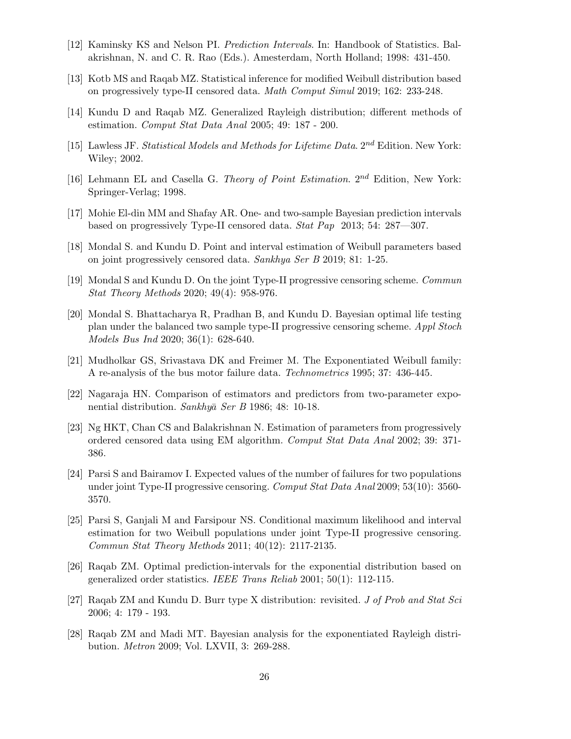- [12] Kaminsky KS and Nelson PI. *Prediction Intervals*. In: Handbook of Statistics. Balakrishnan, N. and C. R. Rao (Eds.). Amesterdam, North Holland; 1998: 431-450.
- [13] Kotb MS and Raqab MZ. Statistical inference for modified Weibull distribution based on progressively type-II censored data. *Math Comput Simul* 2019; 162: 233-248.
- [14] Kundu D and Raqab MZ. Generalized Rayleigh distribution; different methods of estimation. *Comput Stat Data Anal* 2005; 49: 187 - 200.
- [15] Lawless JF. *Statistical Models and Methods for Lifetime Data*. 2*nd* Edition. New York: Wiley; 2002.
- [16] Lehmann EL and Casella G. *Theory of Point Estimation*. 2*nd* Edition, New York: Springer-Verlag; 1998.
- [17] Mohie El-din MM and Shafay AR. One- and two-sample Bayesian prediction intervals based on progressively Type-II censored data. *Stat Pap* 2013; 54: 287—307.
- [18] Mondal S. and Kundu D. Point and interval estimation of Weibull parameters based on joint progressively censored data. *Sankhya Ser B* 2019; 81: 1-25.
- [19] Mondal S and Kundu D. On the joint Type-II progressive censoring scheme. *Commun Stat Theory Methods* 2020; 49(4): 958-976.
- [20] Mondal S. Bhattacharya R, Pradhan B, and Kundu D. Bayesian optimal life testing plan under the balanced two sample type-II progressive censoring scheme. *Appl Stoch Models Bus Ind* 2020; 36(1): 628-640.
- [21] Mudholkar GS, Srivastava DK and Freimer M. The Exponentiated Weibull family: A re-analysis of the bus motor failure data. *Technometrics* 1995; 37: 436-445.
- [22] Nagaraja HN. Comparison of estimators and predictors from two-parameter exponential distribution. *Sankhya*¯ *Ser B* 1986; 48: 10-18.
- [23] Ng HKT, Chan CS and Balakrishnan N. Estimation of parameters from progressively ordered censored data using EM algorithm. *Comput Stat Data Anal* 2002; 39: 371- 386.
- [24] Parsi S and Bairamov I. Expected values of the number of failures for two populations under joint Type-II progressive censoring. *Comput Stat Data Anal* 2009; 53(10): 3560- 3570.
- [25] Parsi S, Ganjali M and Farsipour NS. Conditional maximum likelihood and interval estimation for two Weibull populations under joint Type-II progressive censoring. *Commun Stat Theory Methods* 2011; 40(12): 2117-2135.
- [26] Raqab ZM. Optimal prediction-intervals for the exponential distribution based on generalized order statistics. *IEEE Trans Reliab* 2001; 50(1): 112-115.
- [27] Raqab ZM and Kundu D. Burr type X distribution: revisited. *J of Prob and Stat Sci* 2006; 4: 179 - 193.
- [28] Raqab ZM and Madi MT. Bayesian analysis for the exponentiated Rayleigh distribution. *Metron* 2009; Vol. LXVII, 3: 269-288.